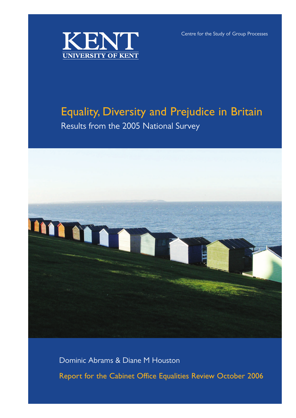Centre for the Study of Group Processes



# Equality, Diversity and Prejudice in Britain

Results from the 2005 National Survey



Dominic Abrams & Diane M Houston

Report for the Cabinet Office Equalities Review October 2006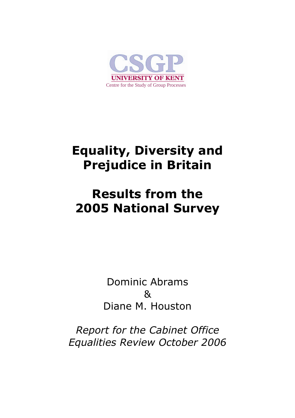

# **Equality, Diversity and Prejudice in Britain**

# **Results from the 2005 National Survey**

Dominic Abrams & Diane M. Houston

*Report for the Cabinet Office Equalities Review October 2006*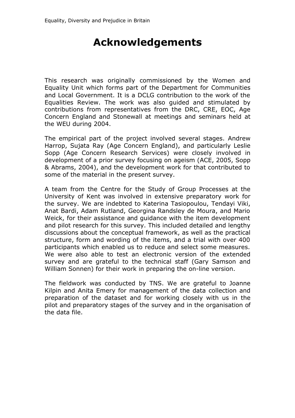# **Acknowledgements**

This research was originally commissioned by the Women and Equality Unit which forms part of the Department for Communities and Local Government. It is a DCLG contribution to the work of the Equalities Review. The work was also guided and stimulated by contributions from representatives from the DRC, CRE, EOC, Age Concern England and Stonewall at meetings and seminars held at the WEU during 2004.

The empirical part of the project involved several stages. Andrew Harrop, Sujata Ray (Age Concern England), and particularly Leslie Sopp (Age Concern Research Services) were closely involved in development of a prior survey focusing on ageism (ACE, 2005, Sopp & Abrams, 2004), and the development work for that contributed to some of the material in the present survey.

A team from the Centre for the Study of Group Processes at the University of Kent was involved in extensive preparatory work for the survey. We are indebted to Katerina Tasiopoulou, Tendayi Viki, Anat Bardi, Adam Rutland, Georgina Randsley de Moura, and Mario Weick, for their assistance and guidance with the item development and pilot research for this survey. This included detailed and lengthy discussions about the conceptual framework, as well as the practical structure, form and wording of the items, and a trial with over 400 participants which enabled us to reduce and select some measures. We were also able to test an electronic version of the extended survey and are grateful to the technical staff (Gary Samson and William Sonnen) for their work in preparing the on-line version.

The fieldwork was conducted by TNS. We are grateful to Joanne Kilpin and Anita Emery for management of the data collection and preparation of the dataset and for working closely with us in the pilot and preparatory stages of the survey and in the organisation of the data file.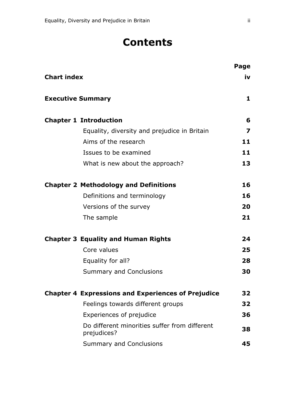# **Contents**

|                                                              | Page |
|--------------------------------------------------------------|------|
| <b>Chart index</b>                                           | iv   |
| <b>Executive Summary</b>                                     | 1    |
| <b>Chapter 1 Introduction</b>                                | 6    |
| Equality, diversity and prejudice in Britain                 | 7    |
| Aims of the research                                         | 11   |
| Issues to be examined                                        | 11   |
| What is new about the approach?                              | 13   |
| <b>Chapter 2 Methodology and Definitions</b>                 | 16   |
| Definitions and terminology                                  | 16   |
| Versions of the survey                                       | 20   |
| The sample                                                   | 21   |
| <b>Chapter 3 Equality and Human Rights</b>                   | 24   |
| Core values                                                  | 25   |
| Equality for all?                                            | 28   |
| <b>Summary and Conclusions</b>                               | 30   |
| <b>Chapter 4 Expressions and Experiences of Prejudice</b>    | 32   |
| Feelings towards different groups                            | 32   |
| Experiences of prejudice                                     | 36   |
| Do different minorities suffer from different<br>prejudices? | 38   |
| <b>Summary and Conclusions</b>                               | 45   |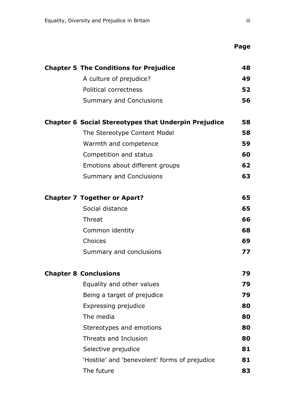| <b>Chapter 5 The Conditions for Prejudice</b>               | 48 |
|-------------------------------------------------------------|----|
| A culture of prejudice?                                     | 49 |
| <b>Political correctness</b>                                | 52 |
| <b>Summary and Conclusions</b>                              | 56 |
| <b>Chapter 6 Social Stereotypes that Underpin Prejudice</b> | 58 |
| The Stereotype Content Model                                | 58 |
| Warmth and competence                                       | 59 |
| Competition and status                                      | 60 |
| Emotions about different groups                             | 62 |
| <b>Summary and Conclusions</b>                              | 63 |
| <b>Chapter 7 Together or Apart?</b>                         | 65 |
| Social distance                                             | 65 |
| Threat                                                      | 66 |
| Common identity                                             | 68 |
| Choices                                                     | 69 |
| Summary and conclusions                                     | 77 |
| <b>Chapter 8 Conclusions</b>                                | 79 |
| Equality and other values                                   | 79 |
| Being a target of prejudice                                 | 79 |
| Expressing prejudice                                        | 80 |
| The media                                                   | 80 |
| Stereotypes and emotions                                    | 80 |
| Threats and Inclusion                                       | 80 |
| Selective prejudice                                         | 81 |
| 'Hostile' and 'benevolent' forms of prejudice               | 81 |
| The future                                                  | 83 |
|                                                             |    |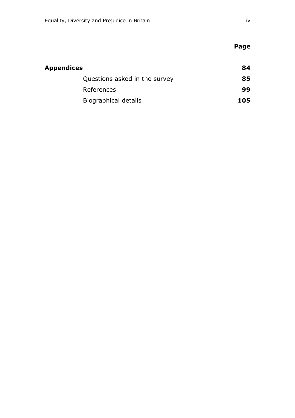| Appendices |                               | 84  |
|------------|-------------------------------|-----|
|            | Questions asked in the survey | 85  |
|            | References                    | 99  |
|            | Biographical details          | 105 |

**Page**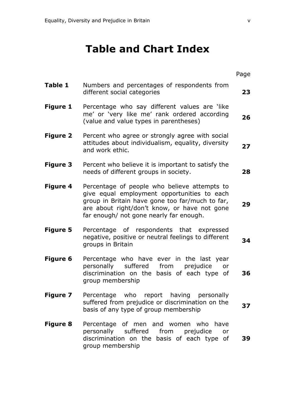# **Table and Chart Index**

|                 |                                                                                                                                                                                                                                           | Page |  |
|-----------------|-------------------------------------------------------------------------------------------------------------------------------------------------------------------------------------------------------------------------------------------|------|--|
| Table 1         | Numbers and percentages of respondents from<br>different social categories                                                                                                                                                                |      |  |
| <b>Figure 1</b> | Percentage who say different values are 'like<br>me' or 'very like me' rank ordered according<br>(value and value types in parentheses)                                                                                                   |      |  |
| <b>Figure 2</b> | Percent who agree or strongly agree with social<br>attitudes about individualism, equality, diversity<br>and work ethic.                                                                                                                  |      |  |
| <b>Figure 3</b> | Percent who believe it is important to satisfy the<br>needs of different groups in society.                                                                                                                                               | 28   |  |
| <b>Figure 4</b> | Percentage of people who believe attempts to<br>give equal employment opportunities to each<br>group in Britain have gone too far/much to far,<br>are about right/don't know, or have not gone<br>far enough/ not gone nearly far enough. | 29   |  |
| <b>Figure 5</b> | Percentage of respondents that expressed<br>negative, positive or neutral feelings to different<br>groups in Britain                                                                                                                      | 34   |  |
| <b>Figure 6</b> | Percentage who have ever in the last year<br>suffered from<br>personally<br>prejudice<br>or<br>discrimination on the basis of each type of<br>group membership                                                                            | 36   |  |
| Figure 7        | Percentage who report having personally<br>suffered from prejudice or discrimination on the<br>basis of any type of group membership                                                                                                      | 37   |  |
| <b>Figure 8</b> | Percentage of men and women who have<br>personally suffered from prejudice<br>or<br>discrimination on the basis of each type of<br>group membership                                                                                       | 39   |  |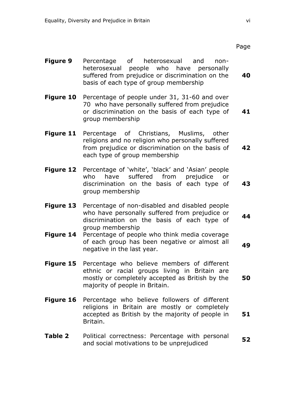- **Figure 9** Percentage of heterosexual and nonheterosexual people who have personally suffered from prejudice or discrimination on the basis of each type of group membership **40**
- **Figure 10** Percentage of people under 31, 31-60 and over 70 who have personally suffered from prejudice or discrimination on the basis of each type of group membership **41**
- **Figure 11** Percentage of Christians, Muslims, other religions and no religion who personally suffered from prejudice or discrimination on the basis of each type of group membership **42**
- **Figure 12** Percentage of 'white', 'black' and 'Asian' people who have suffered from prejudice or discrimination on the basis of each type of group membership **43**
- **Figure 13** Percentage of non-disabled and disabled people who have personally suffered from prejudice or discrimination on the basis of each type of group membership **44**
- **Figure 14** Percentage of people who think media coverage of each group has been negative or almost all or each group has been negative or almost all **49**<br>negative in the last year.
- **Figure 15** Percentage who believe members of different ethnic or racial groups living in Britain are mostly or completely accepted as British by the majority of people in Britain. **50**
- **Figure 16** Percentage who believe followers of different religions in Britain are mostly or completely accepted as British by the majority of people in Britain. **51**
- **Table 2** Political correctness: Percentage with personal and social motivations to be unprejudiced **<sup>52</sup>**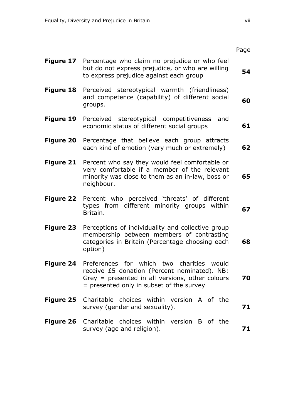|                  |                                                                                                                                                                                                    | Page |  |  |  |
|------------------|----------------------------------------------------------------------------------------------------------------------------------------------------------------------------------------------------|------|--|--|--|
| <b>Figure 17</b> | Percentage who claim no prejudice or who feel<br>but do not express prejudice, or who are willing<br>to express prejudice against each group                                                       |      |  |  |  |
| <b>Figure 18</b> | Perceived stereotypical warmth (friendliness)<br>and competence (capability) of different social<br>groups.                                                                                        | 60   |  |  |  |
| <b>Figure 19</b> | Perceived stereotypical competitiveness<br>and<br>economic status of different social groups                                                                                                       |      |  |  |  |
| <b>Figure 20</b> | Percentage that believe each group attracts<br>each kind of emotion (very much or extremely)                                                                                                       | 62   |  |  |  |
| <b>Figure 21</b> | Percent who say they would feel comfortable or<br>very comfortable if a member of the relevant<br>minority was close to them as an in-law, boss or<br>neighbour.                                   | 65   |  |  |  |
| <b>Figure 22</b> | Percent who perceived 'threats' of different<br>types from different minority groups within<br>Britain.                                                                                            | 67   |  |  |  |
| <b>Figure 23</b> | Perceptions of individuality and collective group<br>membership between members of contrasting<br>categories in Britain (Percentage choosing each<br>option)                                       | 68   |  |  |  |
|                  | Figure 24 Preferences for which two charities would<br>receive £5 donation (Percent nominated). NB:<br>Grey = presented in all versions, other colours<br>= presented only in subset of the survey | 70   |  |  |  |
| <b>Figure 25</b> | Charitable choices within version A of the<br>survey (gender and sexuality).                                                                                                                       | 71   |  |  |  |
| <b>Figure 26</b> | Charitable choices within version B of the<br>survey (age and religion).                                                                                                                           | 71   |  |  |  |
|                  |                                                                                                                                                                                                    |      |  |  |  |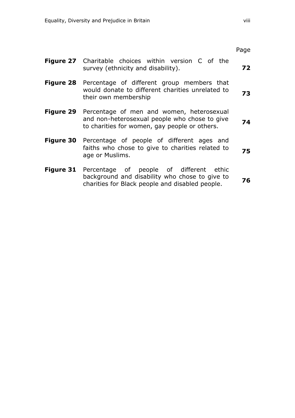|                                                                                                                                                               | Page |
|---------------------------------------------------------------------------------------------------------------------------------------------------------------|------|
| <b>Figure 27</b> Charitable choices within version C of the<br>survey (ethnicity and disability).                                                             | 72   |
| Figure 28 Percentage of different group members that<br>would donate to different charities unrelated to<br>their own membership                              | 73   |
| Figure 29 Percentage of men and women, heterosexual<br>and non-heterosexual people who chose to give<br>to charities for women, gay people or others.         | 74   |
| <b>Figure 30</b> Percentage of people of different ages and<br>faiths who chose to give to charities related to<br>age or Muslims.                            | 75   |
| <b>Figure 31</b> Percentage of people of different ethic<br>background and disability who chose to give to<br>charities for Black people and disabled people. | 76   |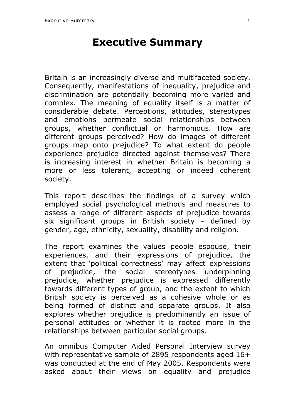# **Executive Summary**

Britain is an increasingly diverse and multifaceted society. Consequently, manifestations of inequality, prejudice and discrimination are potentially becoming more varied and complex. The meaning of equality itself is a matter of considerable debate. Perceptions, attitudes, stereotypes and emotions permeate social relationships between groups, whether conflictual or harmonious. How are different groups perceived? How do images of different groups map onto prejudice? To what extent do people experience prejudice directed against themselves? There is increasing interest in whether Britain is becoming a more or less tolerant, accepting or indeed coherent society.

This report describes the findings of a survey which employed social psychological methods and measures to assess a range of different aspects of prejudice towards six significant groups in British society – defined by gender, age, ethnicity, sexuality, disability and religion.

The report examines the values people espouse, their experiences, and their expressions of prejudice, the extent that 'political correctness' may affect expressions of prejudice, the social stereotypes underpinning prejudice, whether prejudice is expressed differently towards different types of group, and the extent to which British society is perceived as a cohesive whole or as being formed of distinct and separate groups. It also explores whether prejudice is predominantly an issue of personal attitudes or whether it is rooted more in the relationships between particular social groups.

An omnibus Computer Aided Personal Interview survey with representative sample of 2895 respondents aged 16+ was conducted at the end of May 2005. Respondents were asked about their views on equality and prejudice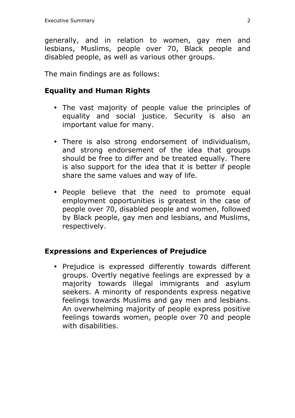generally, and in relation to women, gay men and lesbians, Muslims, people over 70, Black people and disabled people, as well as various other groups.

The main findings are as follows:

### **Equality and Human Rights**

- The vast majority of people value the principles of equality and social justice. Security is also an important value for many.
- There is also strong endorsement of individualism, and strong endorsement of the idea that groups should be free to differ and be treated equally. There is also support for the idea that it is better if people share the same values and way of life.
- People believe that the need to promote equal employment opportunities is greatest in the case of people over 70, disabled people and women, followed by Black people, gay men and lesbians, and Muslims, respectively.

### **Expressions and Experiences of Prejudice**

• Prejudice is expressed differently towards different groups. Overtly negative feelings are expressed by a majority towards illegal immigrants and asylum seekers. A minority of respondents express negative feelings towards Muslims and gay men and lesbians. An overwhelming majority of people express positive feelings towards women, people over 70 and people with disabilities.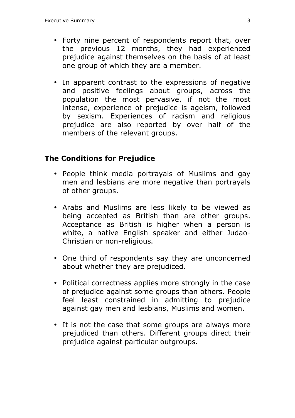- Forty nine percent of respondents report that, over the previous 12 months, they had experienced prejudice against themselves on the basis of at least one group of which they are a member.
- In apparent contrast to the expressions of negative and positive feelings about groups, across the population the most pervasive, if not the most intense, experience of prejudice is ageism, followed by sexism. Experiences of racism and religious prejudice are also reported by over half of the members of the relevant groups.

### **The Conditions for Prejudice**

- People think media portrayals of Muslims and gay men and lesbians are more negative than portrayals of other groups.
- Arabs and Muslims are less likely to be viewed as being accepted as British than are other groups. Acceptance as British is higher when a person is white, a native English speaker and either Judao-Christian or non-religious.
- One third of respondents say they are unconcerned about whether they are prejudiced.
- Political correctness applies more strongly in the case of prejudice against some groups than others. People feel least constrained in admitting to prejudice against gay men and lesbians, Muslims and women.
- It is not the case that some groups are always more prejudiced than others. Different groups direct their prejudice against particular outgroups.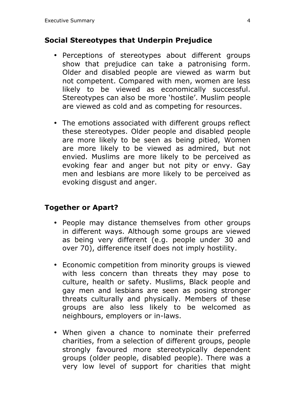### **Social Stereotypes that Underpin Prejudice**

- Perceptions of stereotypes about different groups show that prejudice can take a patronising form. Older and disabled people are viewed as warm but not competent. Compared with men, women are less likely to be viewed as economically successful. Stereotypes can also be more 'hostile'. Muslim people are viewed as cold and as competing for resources.
- The emotions associated with different groups reflect these stereotypes. Older people and disabled people are more likely to be seen as being pitied, Women are more likely to be viewed as admired, but not envied. Muslims are more likely to be perceived as evoking fear and anger but not pity or envy. Gay men and lesbians are more likely to be perceived as evoking disgust and anger.

### **Together or Apart?**

- People may distance themselves from other groups in different ways. Although some groups are viewed as being very different (e.g. people under 30 and over 70), difference itself does not imply hostility.
- Economic competition from minority groups is viewed with less concern than threats they may pose to culture, health or safety. Muslims, Black people and gay men and lesbians are seen as posing stronger threats culturally and physically. Members of these groups are also less likely to be welcomed as neighbours, employers or in-laws.
- When given a chance to nominate their preferred charities, from a selection of different groups, people strongly favoured more stereotypically dependent groups (older people, disabled people). There was a very low level of support for charities that might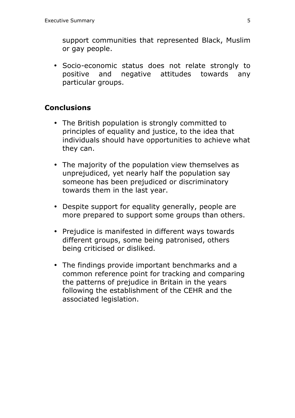support communities that represented Black, Muslim or gay people.

• Socio-economic status does not relate strongly to positive and negative attitudes towards any particular groups.

#### **Conclusions**

- The British population is strongly committed to principles of equality and justice, to the idea that individuals should have opportunities to achieve what they can.
- The majority of the population view themselves as unprejudiced, yet nearly half the population say someone has been prejudiced or discriminatory towards them in the last year.
- Despite support for equality generally, people are more prepared to support some groups than others.
- Prejudice is manifested in different ways towards different groups, some being patronised, others being criticised or disliked.
- The findings provide important benchmarks and a common reference point for tracking and comparing the patterns of prejudice in Britain in the years following the establishment of the CEHR and the associated legislation.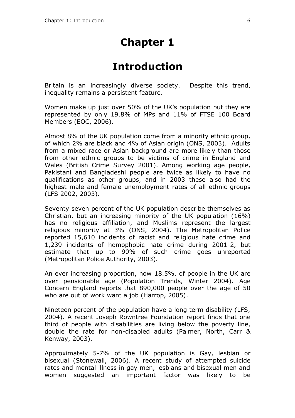# **Chapter 1**

# **Introduction**

Britain is an increasingly diverse society. Despite this trend, inequality remains a persistent feature.

Women make up just over 50% of the UK's population but they are represented by only 19.8% of MPs and 11% of FTSE 100 Board Members (EOC, 2006).

Almost 8% of the UK population come from a minority ethnic group, of which 2% are black and 4% of Asian origin (ONS, 2003). Adults from a mixed race or Asian background are more likely than those from other ethnic groups to be victims of crime in England and Wales (British Crime Survey 2001). Among working age people, Pakistani and Bangladeshi people are twice as likely to have no qualifications as other groups, and in 2003 these also had the highest male and female unemployment rates of all ethnic groups (LFS 2002, 2003).

Seventy seven percent of the UK population describe themselves as Christian, but an increasing minority of the UK population (16%) has no religious affiliation, and Muslims represent the largest religious minority at 3% (ONS, 2004). The Metropolitan Police reported 15,610 incidents of racist and religious hate crime and 1,239 incidents of homophobic hate crime during 2001-2, but estimate that up to 90% of such crime goes unreported (Metropolitan Police Authority, 2003).

An ever increasing proportion, now 18.5%, of people in the UK are over pensionable age (Population Trends, Winter 2004). Age Concern England reports that 890,000 people over the age of 50 who are out of work want a job (Harrop, 2005).

Nineteen percent of the population have a long term disability (LFS, 2004). A recent Joseph Rowntree Foundation report finds that one third of people with disabilities are living below the poverty line, double the rate for non-disabled adults (Palmer, North, Carr & Kenway, 2003).

Approximately 5-7% of the UK population is Gay, lesbian or bisexual (Stonewall, 2006). A recent study of attempted suicide rates and mental illness in gay men, lesbians and bisexual men and women suggested an important factor was likely to be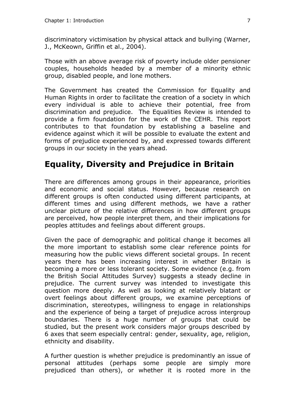discriminatory victimisation by physical attack and bullying (Warner, J., McKeown, Griffin et al., 2004).

Those with an above average risk of poverty include older pensioner couples, households headed by a member of a minority ethnic group, disabled people, and lone mothers.

The Government has created the Commission for Equality and Human Rights in order to facilitate the creation of a society in which every individual is able to achieve their potential, free from discrimination and prejudice. The Equalities Review is intended to provide a firm foundation for the work of the CEHR. This report contributes to that foundation by establishing a baseline and evidence against which it will be possible to evaluate the extent and forms of prejudice experienced by, and expressed towards different groups in our society in the years ahead.

## **Equality, Diversity and Prejudice in Britain**

There are differences among groups in their appearance, priorities and economic and social status. However, because research on different groups is often conducted using different participants, at different times and using different methods, we have a rather unclear picture of the relative differences in how different groups are perceived, how people interpret them, and their implications for peoples attitudes and feelings about different groups.

Given the pace of demographic and political change it becomes all the more important to establish some clear reference points for measuring how the public views different societal groups. In recent years there has been increasing interest in whether Britain is becoming a more or less tolerant society. Some evidence (e.g. from the British Social Attitudes Survey) suggests a steady decline in prejudice. The current survey was intended to investigate this question more deeply. As well as looking at relatively blatant or overt feelings about different groups, we examine perceptions of discrimination, stereotypes, willingness to engage in relationships and the experience of being a target of prejudice across intergroup boundaries. There is a huge number of groups that could be studied, but the present work considers major groups described by 6 axes that seem especially central: gender, sexuality, age, religion, ethnicity and disability.

A further question is whether prejudice is predominantly an issue of personal attitudes (perhaps some people are simply more prejudiced than others), or whether it is rooted more in the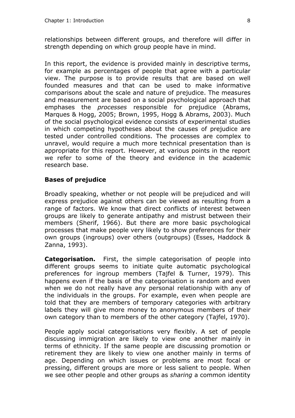relationships between different groups, and therefore will differ in strength depending on which group people have in mind.

In this report, the evidence is provided mainly in descriptive terms, for example as percentages of people that agree with a particular view. The purpose is to provide results that are based on well founded measures and that can be used to make informative comparisons about the scale and nature of prejudice. The measures and measurement are based on a social psychological approach that emphases the *processes* responsible for prejudice (Abrams, Marques & Hogg, 2005; Brown, 1995, Hogg & Abrams, 2003). Much of the social psychological evidence consists of experimental studies in which competing hypotheses about the causes of prejudice are tested under controlled conditions. The processes are complex to unravel, would require a much more technical presentation than is appropriate for this report. However, at various points in the report we refer to some of the theory and evidence in the academic research base.

#### **Bases of prejudice**

Broadly speaking, whether or not people will be prejudiced and will express prejudice against others can be viewed as resulting from a range of factors. We know that direct conflicts of interest between groups are likely to generate antipathy and mistrust between their members (Sherif, 1966). But there are more basic psychological processes that make people very likely to show preferences for their own groups (ingroups) over others (outgroups) (Esses, Haddock & Zanna, 1993).

**Categorisation.** First, the simple categorisation of people into different groups seems to initiate quite automatic psychological preferences for ingroup members (Tajfel & Turner, 1979). This happens even if the basis of the categorisation is random and even when we do not really have any personal relationship with any of the individuals in the groups. For example, even when people are told that they are members of temporary categories with arbitrary labels they will give more money to anonymous members of their own category than to members of the other category (Tajfel, 1970).

People apply social categorisations very flexibly. A set of people discussing immigration are likely to view one another mainly in terms of ethnicity. If the same people are discussing promotion or retirement they are likely to view one another mainly in terms of age. Depending on which issues or problems are most focal or pressing, different groups are more or less salient to people. When we see other people and other groups as *sharing* a common identity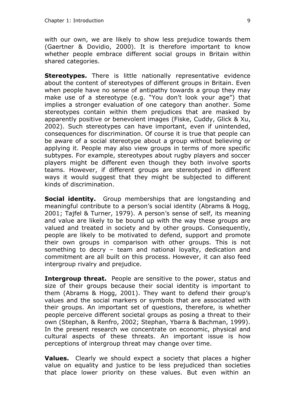with our own, we are likely to show less prejudice towards them (Gaertner & Dovidio, 2000). It is therefore important to know whether people embrace different social groups in Britain within shared categories.

**Stereotypes.** There is little nationally representative evidence about the content of stereotypes of different groups in Britain. Even when people have no sense of antipathy towards a group they may make use of a stereotype (e.g. "You don't look your age") that implies a stronger evaluation of one category than another. Some stereotypes contain within them prejudices that are masked by apparently positive or benevolent images (Fiske, Cuddy, Glick & Xu, 2002). Such stereotypes can have important, even if unintended, consequences for discrimination. Of course it is true that people can be aware of a social stereotype about a group without believing or applying it. People may also view groups in terms of more specific subtypes. For example, stereotypes about rugby players and soccer players might be different even though they both involve sports teams. However, if different groups are stereotyped in different ways it would suggest that they might be subjected to different kinds of discrimination.

**Social identity.** Group memberships that are longstanding and meaningful contribute to a person's social identity (Abrams & Hogg, 2001; Tajfel & Turner, 1979). A person's sense of self, its meaning and value are likely to be bound up with the way these groups are valued and treated in society and by other groups. Consequently, people are likely to be motivated to defend, support and promote their own groups in comparison with other groups. This is not something to decry – team and national loyalty, dedication and commitment are all built on this process. However, it can also feed intergroup rivalry and prejudice.

**Intergroup threat.** People are sensitive to the power, status and size of their groups because their social identity is important to them (Abrams & Hogg, 2001). They want to defend their group's values and the social markers or symbols that are associated with their groups. An important set of questions, therefore, is whether people perceive different societal groups as posing a threat to their own (Stephan, & Renfro, 2002; Stephan, Ybarra & Bachman, 1999). In the present research we concentrate on economic, physical and cultural aspects of these threats. An important issue is how perceptions of intergroup threat may change over time.

**Values.** Clearly we should expect a society that places a higher value on equality and justice to be less prejudiced than societies that place lower priority on these values. But even within an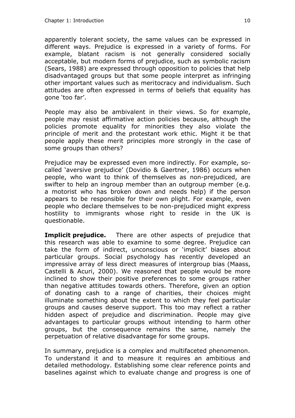apparently tolerant society, the same values can be expressed in different ways. Prejudice is expressed in a variety of forms. For example, blatant racism is not generally considered socially acceptable, but modern forms of prejudice, such as symbolic racism (Sears, 1988) are expressed through opposition to policies that help disadvantaged groups but that some people interpret as infringing other important values such as meritocracy and individualism. Such attitudes are often expressed in terms of beliefs that equality has gone 'too far'.

People may also be ambivalent in their views. So for example, people may resist affirmative action policies because, although the policies promote equality for minorities they also violate the principle of merit and the protestant work ethic. Might it be that people apply these merit principles more strongly in the case of some groups than others?

Prejudice may be expressed even more indirectly. For example, socalled 'aversive prejudice' (Dovidio & Gaertner, 1986) occurs when people, who want to think of themselves as non-prejudiced, are swifter to help an ingroup member than an outgroup member (e.g. a motorist who has broken down and needs help) if the person appears to be responsible for their own plight. For example, even people who declare themselves to be non-prejudiced might express hostility to immigrants whose right to reside in the UK is questionable.

**Implicit prejudice.** There are other aspects of prejudice that this research was able to examine to some degree. Prejudice can take the form of indirect, unconscious or 'implicit' biases about particular groups. Social psychology has recently developed an impressive array of less direct measures of intergroup bias (Maass, Castelli & Acuri, 2000). We reasoned that people would be more inclined to show their positive preferences to some groups rather than negative attitudes towards others. Therefore, given an option of donating cash to a range of charities, their choices might illuminate something about the extent to which they feel particular groups and causes deserve support. This too may reflect a rather hidden aspect of prejudice and discrimination. People may give advantages to particular groups without intending to harm other groups, but the consequence remains the same, namely the perpetuation of relative disadvantage for some groups.

In summary, prejudice is a complex and multifaceted phenomenon. To understand it and to measure it requires an ambitious and detailed methodology. Establishing some clear reference points and baselines against which to evaluate change and progress is one of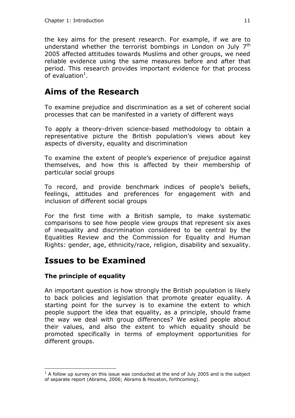the key aims for the present research. For example, if we are to understand whether the terrorist bombings in London on July 7<sup>th</sup> 2005 affected attitudes towards Muslims and other groups, we need reliable evidence using the same measures before and after that period. This research provides important evidence for that process of evaluation $^1$ .

### **Aims of the Research**

To examine prejudice and discrimination as a set of coherent social processes that can be manifested in a variety of different ways

To apply a theory-driven science-based methodology to obtain a representative picture the British population's views about key aspects of diversity, equality and discrimination

To examine the extent of people's experience of prejudice against themselves, and how this is affected by their membership of particular social groups

To record, and provide benchmark indices of people's beliefs, feelings, attitudes and preferences for engagement with and inclusion of different social groups

For the first time with a British sample, to make systematic comparisons to see how people view groups that represent six axes of inequality and discrimination considered to be central by the Equalities Review and the Commission for Equality and Human Rights: gender, age, ethnicity/race, religion, disability and sexuality.

### **Issues to be Examined**

#### **The principle of equality**

 $\overline{a}$ 

An important question is how strongly the British population is likely to back policies and legislation that promote greater equality. A starting point for the survey is to examine the extent to which people support the idea that equality, as a principle, should frame the way we deal with group differences? We asked people about their values, and also the extent to which equality should be promoted specifically in terms of employment opportunities for different groups.

 $<sup>1</sup>$  A follow up survey on this issue was conducted at the end of July 2005 and is the subject</sup> of separate report (Abrams, 2006; Abrams & Houston, forthcoming).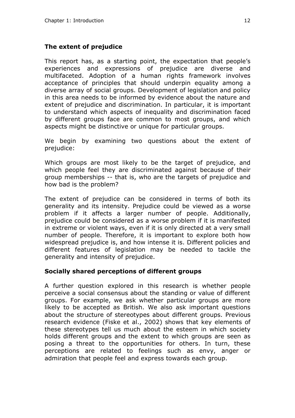#### **The extent of prejudice**

This report has, as a starting point, the expectation that people's experiences and expressions of prejudice are diverse and multifaceted. Adoption of a human rights framework involves acceptance of principles that should underpin equality among a diverse array of social groups. Development of legislation and policy in this area needs to be informed by evidence about the nature and extent of prejudice and discrimination. In particular, it is important to understand which aspects of inequality and discrimination faced by different groups face are common to most groups, and which aspects might be distinctive or unique for particular groups.

We begin by examining two questions about the extent of prejudice:

Which groups are most likely to be the target of prejudice, and which people feel they are discriminated against because of their group memberships -- that is, who are the targets of prejudice and how bad is the problem?

The extent of prejudice can be considered in terms of both its generality and its intensity. Prejudice could be viewed as a worse problem if it affects a larger number of people. Additionally, prejudice could be considered as a worse problem if it is manifested in extreme or violent ways, even if it is only directed at a very small number of people. Therefore, it is important to explore both how widespread prejudice is, and how intense it is. Different policies and different features of legislation may be needed to tackle the generality and intensity of prejudice.

#### **Socially shared perceptions of different groups**

A further question explored in this research is whether people perceive a social consensus about the standing or value of different groups. For example, we ask whether particular groups are more likely to be accepted as British. We also ask important questions about the structure of stereotypes about different groups. Previous research evidence (Fiske et al., 2002) shows that key elements of these stereotypes tell us much about the esteem in which society holds different groups and the extent to which groups are seen as posing a threat to the opportunities for others. In turn, these perceptions are related to feelings such as envy, anger or admiration that people feel and express towards each group.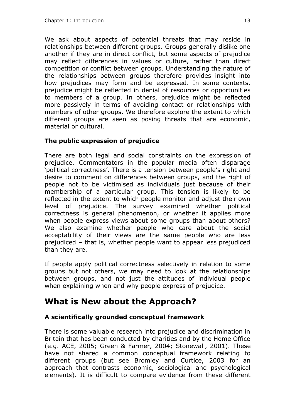We ask about aspects of potential threats that may reside in relationships between different groups. Groups generally dislike one another if they are in direct conflict, but some aspects of prejudice may reflect differences in values or culture, rather than direct competition or conflict between groups. Understanding the nature of the relationships between groups therefore provides insight into how prejudices may form and be expressed. In some contexts, prejudice might be reflected in denial of resources or opportunities to members of a group. In others, prejudice might be reflected more passively in terms of avoiding contact or relationships with members of other groups. We therefore explore the extent to which different groups are seen as posing threats that are economic, material or cultural.

#### **The public expression of prejudice**

There are both legal and social constraints on the expression of prejudice. Commentators in the popular media often disparage 'political correctness'. There is a tension between people's right and desire to comment on differences between groups, and the right of people not to be victimised as individuals just because of their membership of a particular group. This tension is likely to be reflected in the extent to which people monitor and adjust their own level of prejudice. The survey examined whether political correctness is general phenomenon, or whether it applies more when people express views about some groups than about others? We also examine whether people who care about the social acceptability of their views are the same people who are less prejudiced – that is, whether people want to appear less prejudiced than they are.

If people apply political correctness selectively in relation to some groups but not others, we may need to look at the relationships between groups, and not just the attitudes of individual people when explaining when and why people express of prejudice.

### **What is New about the Approach?**

#### **A scientifically grounded conceptual framework**

There is some valuable research into prejudice and discrimination in Britain that has been conducted by charities and by the Home Office (e.g. ACE, 2005; Green & Farmer, 2004; Stonewall, 2001). These have not shared a common conceptual framework relating to different groups (but see Bromley and Curtice, 2003 for an approach that contrasts economic, sociological and psychological elements). It is difficult to compare evidence from these different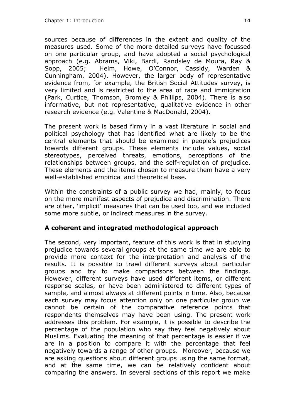sources because of differences in the extent and quality of the measures used. Some of the more detailed surveys have focussed on one particular group, and have adopted a social psychological approach (e.g. Abrams, Viki, Bardi, Randsley de Moura, Ray & Sopp, 2005; Heim, Howe, O'Connor, Cassidy, Warden & Cunningham, 2004). However, the larger body of representative evidence from, for example, the British Social Attitudes survey, is very limited and is restricted to the area of race and immigration (Park, Curtice, Thomson, Bromley & Phillips, 2004). There is also informative, but not representative, qualitative evidence in other research evidence (e.g. Valentine & MacDonald, 2004).

The present work is based firmly in a vast literature in social and political psychology that has identified what are likely to be the central elements that should be examined in people's prejudices towards different groups. These elements include values, social stereotypes, perceived threats, emotions, perceptions of the relationships between groups, and the self-regulation of prejudice. These elements and the items chosen to measure them have a very well-established empirical and theoretical base.

Within the constraints of a public survey we had, mainly, to focus on the more manifest aspects of prejudice and discrimination. There are other, 'implicit' measures that can be used too, and we included some more subtle, or indirect measures in the survey.

#### **A coherent and integrated methodological approach**

The second, very important, feature of this work is that in studying prejudice towards several groups at the same time we are able to provide more context for the interpretation and analysis of the results. It is possible to trawl different surveys about particular groups and try to make comparisons between the findings. However, different surveys have used different items, or different response scales, or have been administered to different types of sample, and almost always at different points in time. Also, because each survey may focus attention only on one particular group we cannot be certain of the comparative reference points that respondents themselves may have been using. The present work addresses this problem. For example, it is possible to describe the percentage of the population who say they feel negatively about Muslims. Evaluating the meaning of that percentage is easier if we are in a position to compare it with the percentage that feel negatively towards a range of other groups. Moreover, because we are asking questions about different groups using the same format, and at the same time, we can be relatively confident about comparing the answers. In several sections of this report we make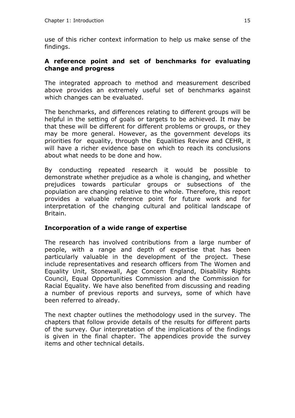use of this richer context information to help us make sense of the findings.

#### **A reference point and set of benchmarks for evaluating change and progress**

The integrated approach to method and measurement described above provides an extremely useful set of benchmarks against which changes can be evaluated.

The benchmarks, and differences relating to different groups will be helpful in the setting of goals or targets to be achieved. It may be that these will be different for different problems or groups, or they may be more general. However, as the government develops its priorities for equality, through the Equalities Review and CEHR, it will have a richer evidence base on which to reach its conclusions about what needs to be done and how.

By conducting repeated research it would be possible to demonstrate whether prejudice as a whole is changing, and whether prejudices towards particular groups or subsections of the population are changing relative to the whole. Therefore, this report provides a valuable reference point for future work and for interpretation of the changing cultural and political landscape of Britain.

#### **Incorporation of a wide range of expertise**

The research has involved contributions from a large number of people, with a range and depth of expertise that has been particularly valuable in the development of the project. These include representatives and research officers from The Women and Equality Unit, Stonewall, Age Concern England, Disability Rights Council, Equal Opportunities Commission and the Commission for Racial Equality. We have also benefited from discussing and reading a number of previous reports and surveys, some of which have been referred to already.

The next chapter outlines the methodology used in the survey. The chapters that follow provide details of the results for different parts of the survey. Our interpretation of the implications of the findings is given in the final chapter. The appendices provide the survey items and other technical details.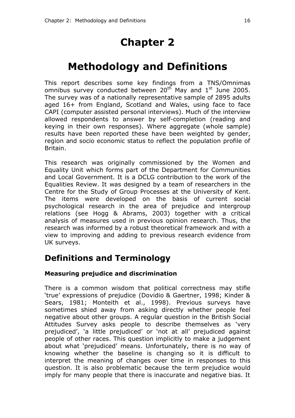# **Chapter 2**

# **Methodology and Definitions**

This report describes some key findings from a TNS/Omnimas omnibus survey conducted between 20<sup>th</sup> May and 1<sup>st</sup> June 2005. The survey was of a nationally representative sample of 2895 adults aged 16+ from England, Scotland and Wales, using face to face CAPI (computer assisted personal interviews). Much of the interview allowed respondents to answer by self-completion (reading and keying in their own responses). Where aggregate (whole sample) results have been reported these have been weighted by gender, region and socio economic status to reflect the population profile of Britain.

This research was originally commissioned by the Women and Equality Unit which forms part of the Department for Communities and Local Government. It is a DCLG contribution to the work of the Equalities Review. It was designed by a team of researchers in the Centre for the Study of Group Processes at the University of Kent. The items were developed on the basis of current social psychological research in the area of prejudice and intergroup relations (see Hogg & Abrams, 2003) together with a critical analysis of measures used in previous opinion research. Thus, the research was informed by a robust theoretical framework and with a view to improving and adding to previous research evidence from UK surveys.

### **Definitions and Terminology**

#### **Measuring prejudice and discrimination**

There is a common wisdom that political correctness may stifle 'true' expressions of prejudice (Dovidio & Gaertner, 1998; Kinder & Sears, 1981; Monteith et al., 1998). Previous surveys have sometimes shied away from asking directly whether people feel negative about other groups. A regular question in the British Social Attitudes Survey asks people to describe themselves as 'very prejudiced', 'a little prejudiced' or 'not at all' prejudiced against people of other races. This question implicitly to make a judgement about what 'prejudiced' means. Unfortunately, there is no way of knowing whether the baseline is changing so it is difficult to interpret the meaning of changes over time in responses to this question. It is also problematic because the term prejudice would imply for many people that there is inaccurate and negative bias. It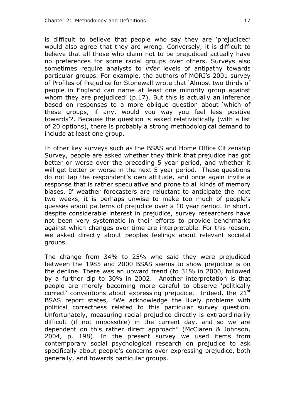is difficult to believe that people who say they are 'prejudiced' would also agree that they are wrong. Conversely, it is difficult to believe that all those who claim not to be prejudiced actually have no preferences for some racial groups over others. Surveys also sometimes require analysts to *infer* levels of antipathy towards particular groups. For example, the authors of MORI's 2001 survey of Profiles of Prejudice for Stonewall wrote that 'Almost two thirds of people in England can name at least one minority group against whom they are prejudiced' (p.17). But this is actually an inference based on responses to a more oblique question about 'which of these groups, if any, would you way you feel less positive towards'?. Because the question is asked relativistically (with a list of 20 options), there is probably a strong methodological demand to include at least one group.

In other key surveys such as the BSAS and Home Office Citizenship Survey, people are asked whether they think that prejudice has got better or worse over the preceding 5 year period, and whether it will get better or worse in the next 5 year period. These questions do not tap the respondent's own attitude, and once again invite a response that is rather speculative and prone to all kinds of memory biases. If weather forecasters are reluctant to anticipate the next two weeks, it is perhaps unwise to make too much of people's guesses about patterns of prejudice over a 10 year period. In short, despite considerable interest in prejudice, survey researchers have not been very systematic in their efforts to provide benchmarks against which changes over time are interpretable. For this reason, we asked directly about peoples feelings about relevant societal groups.

The change from 34% to 25% who said they were prejudiced between the 1985 and 2000 BSAS seems to show prejudice is on the decline. There was an upward trend (to 31% in 2000, followed by a further dip to 30% in 2002. Another interpretation is that people are merely becoming more careful to observe 'politically correct' conventions about expressing prejudice. Indeed, the  $21^{st}$ BSAS report states, "We acknowledge the likely problems with political correctness related to this particular survey question. Unfortunately, measuring racial prejudice directly is extraordinarily difficult (if not impossible) in the current day, and so we are dependent on this rather direct approach" (McClaren & Johnson, 2004, p. 198). In the present survey we used items from contemporary social psychological research on prejudice to ask specifically about people's concerns over expressing prejudice, both generally, and towards particular groups.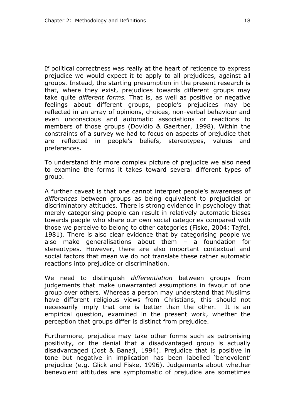If political correctness was really at the heart of reticence to express prejudice we would expect it to apply to all prejudices, against all groups. Instead, the starting presumption in the present research is that, where they exist, prejudices towards different groups may take quite *different forms.* That is, as well as positive or negative feelings about different groups, people's prejudices may be reflected in an array of opinions, choices, non-verbal behaviour and even unconscious and automatic associations or reactions to members of those groups (Dovidio & Gaertner, 1998). Within the constraints of a survey we had to focus on aspects of prejudice that are reflected in people's beliefs, stereotypes, values and preferences.

To understand this more complex picture of prejudice we also need to examine the forms it takes toward several different types of group.

A further caveat is that one cannot interpret people's awareness of *differences* between groups as being equivalent to prejudicial or discriminatory attitudes. There is strong evidence in psychology that merely categorising people can result in relatively automatic biases towards people who share our own social categories compared with those we perceive to belong to other categories (Fiske, 2004; Tajfel, 1981). There is also clear evidence that by categorising people we also make generalisations about them – a foundation for stereotypes. However, there are also important contextual and social factors that mean we do not translate these rather automatic reactions into prejudice or discrimination.

We need to distinguish *differentiation* between groups from judgements that make unwarranted assumptions in favour of one group over others. Whereas a person may understand that Muslims have different religious views from Christians, this should not necessarily imply that one is better than the other. It is an empirical question, examined in the present work, whether the perception that groups differ is distinct from prejudice.

Furthermore, prejudice may take other forms such as patronising positivity, or the denial that a disadvantaged group is actually disadvantaged (Jost & Banaji, 1994). Prejudice that is positive in tone but negative in implication has been labelled 'benevolent' prejudice (e.g. Glick and Fiske, 1996). Judgements about whether benevolent attitudes are symptomatic of prejudice are sometimes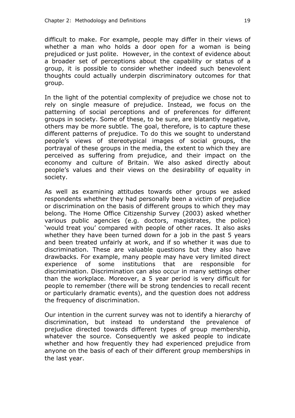difficult to make. For example, people may differ in their views of whether a man who holds a door open for a woman is being prejudiced or just polite. However, in the context of evidence about a broader set of perceptions about the capability or status of a group, it is possible to consider whether indeed such benevolent thoughts could actually underpin discriminatory outcomes for that group.

In the light of the potential complexity of prejudice we chose not to rely on single measure of prejudice. Instead, we focus on the patterning of social perceptions and of preferences for different groups in society. Some of these, to be sure, are blatantly negative, others may be more subtle. The goal, therefore, is to capture these different patterns of prejudice. To do this we sought to understand people's views of stereotypical images of social groups, the portrayal of these groups in the media, the extent to which they are perceived as suffering from prejudice, and their impact on the economy and culture of Britain. We also asked directly about people's values and their views on the desirability of equality in society.

As well as examining attitudes towards other groups we asked respondents whether they had personally been a victim of prejudice or discrimination on the basis of different groups to which they may belong. The Home Office Citizenship Survey (2003) asked whether various public agencies (e.g. doctors, magistrates, the police) 'would treat you' compared with people of other races. It also asks whether they have been turned down for a job in the past 5 years and been treated unfairly at work, and if so whether it was due to discrimination. These are valuable questions but they also have drawbacks. For example, many people may have very limited direct experience of some institutions that are responsible for discrimination. Discrimination can also occur in many settings other than the workplace. Moreover, a 5 year period is very difficult for people to remember (there will be strong tendencies to recall recent or particularly dramatic events), and the question does not address the frequency of discrimination.

Our intention in the current survey was not to identify a hierarchy of discrimination, but instead to understand the prevalence of prejudice directed towards different types of group membership, whatever the source. Consequently we asked people to indicate whether and how frequently they had experienced prejudice from anyone on the basis of each of their different group memberships in the last year.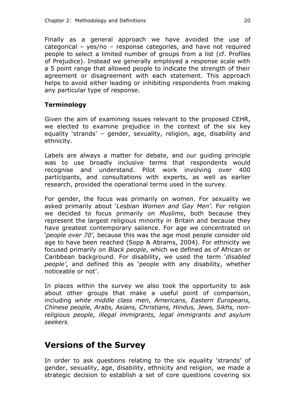Finally as a general approach we have avoided the use of categorical – yes/no – response categories, and have not required people to select a limited number of groups from a list (cf. Profiles of Prejudice). Instead we generally employed a response scale with a 5 point range that allowed people to indicate the strength of their agreement or disagreement with each statement. This approach helps to avoid either leading or inhibiting respondents from making any particular type of response.

#### **Terminology**

Given the aim of examining issues relevant to the proposed CEHR, we elected to examine prejudice in the context of the six key equality 'strands' – gender, sexuality, religion, age, disability and ethnicity.

Labels are always a matter for debate, and our guiding principle was to use broadly inclusive terms that respondents would recognise and understand. Pilot work involving over 400 participants, and consultations with experts, as well as earlier research, provided the operational terms used in the survey.

For gender, the focus was primarily on women. For sexuality we asked primarily about '*Lesbian Women and Gay Men'*. For religion we decided to focus primarily on *Muslims*, both because they represent the largest religious minority in Britain and because they have greatest contemporary salience. For age we concentrated on '*people over 70'*, because this was the age most people consider old age to have been reached (Sopp & Abrams, 2004). For ethnicity we focused primarily on *Black people*, which we defined as of African or Caribbean background. For disability, we used the term '*disabled people'*, and defined this as 'people with any disability, whether noticeable or not'.

In places within the survey we also took the opportunity to ask about other groups that make a useful point of comparison, including *white middle class men, Americans, Eastern Europeans, Chinese people, Arabs, Asians, Christians, Hindus, Jews, Sikhs, nonreligious people, illegal immigrants, legal immigrants and asylum seekers*.

### **Versions of the Survey**

In order to ask questions relating to the six equality 'strands' of gender, sexuality, age, disability, ethnicity and religion, we made a strategic decision to establish a set of core questions covering six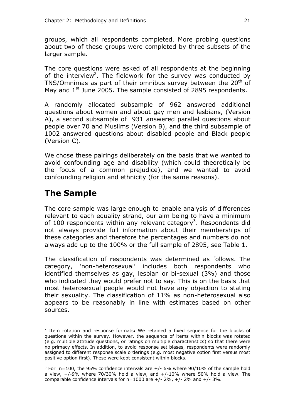groups, which all respondents completed. More probing questions about two of these groups were completed by three subsets of the larger sample.

The core questions were asked of all respondents at the beginning of the interview<sup>2</sup>. The fieldwork for the survey was conducted by TNS/Omnimas as part of their omnibus survey between the 20<sup>th</sup> of May and  $1<sup>st</sup>$  June 2005. The sample consisted of 2895 respondents.

A randomly allocated subsample of 962 answered additional questions about women and about gay men and lesbians, (Version A), a second subsample of 931 answered parallel questions about people over 70 and Muslims (Version B), and the third subsample of 1002 answered questions about disabled people and Black people (Version C).

We chose these pairings deliberately on the basis that we wanted to avoid confounding age and disability (which could theoretically be the focus of a common prejudice), and we wanted to avoid confounding religion and ethnicity (for the same reasons).

## **The Sample**

 $\overline{a}$ 

The core sample was large enough to enable analysis of differences relevant to each equality strand, our aim being to have a minimum of 100 respondents within any relevant category<sup>3</sup>. Respondents did not always provide full information about their memberships of these categories and therefore the percentages and numbers do not always add up to the 100% or the full sample of 2895, see Table 1.

The classification of respondents was determined as follows. The category, 'non-heterosexual' includes both respondents who identified themselves as gay, lesbian or bi-sexual (3%) and those who indicated they would prefer not to say. This is on the basis that most heterosexual people would not have any objection to stating their sexuality. The classification of 11% as non-heterosexual also appears to be reasonably in line with estimates based on other sources.

<sup>2</sup> Item rotation and response formats**:** We retained a fixed sequence for the blocks of questions within the survey. However, the sequence of items within blocks was rotated (e.g. multiple attitude questions, or ratings on multiple characteristics) so that there were no primacy effects. In addition, to avoid response set biases, respondents were randomly assigned to different response scale orderings (e.g. most negative option first versus most positive option first). These were kept consistent within blocks.

 $3$  For n=100, the 95% confidence intervals are  $+/$ - 6% where 90/10% of the sample hold a view,  $+/-9\%$  where 70/30% hold a view, and  $+/-10\%$  where 50% hold a view. The comparable confidence intervals for  $n=1000$  are  $+/- 2\%$ ,  $+/- 2\%$  and  $+/- 3\%$ .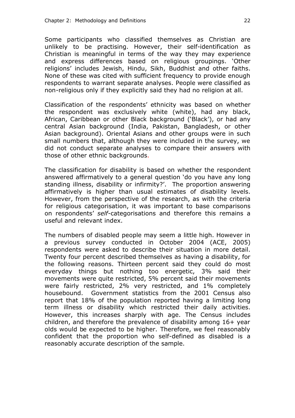Some participants who classified themselves as Christian are unlikely to be practising. However, their self-identification as Christian is meaningful in terms of the way they may experience and express differences based on religious groupings. 'Other religions' includes Jewish, Hindu, Sikh, Buddhist and other faiths. None of these was cited with sufficient frequency to provide enough respondents to warrant separate analyses. People were classified as non-religious only if they explicitly said they had no religion at all.

Classification of the respondents' ethnicity was based on whether the respondent was exclusively white (white), had any black, African, Caribbean or other Black background ('Black'), or had any central Asian background (India, Pakistan, Bangladesh, or other Asian background). Oriental Asians and other groups were in such small numbers that, although they were included in the survey, we did not conduct separate analyses to compare their answers with those of other ethnic backgrounds.

The classification for disability is based on whether the respondent answered affirmatively to a general question 'do you have any long standing illness, disability or infirmity?'. The proportion answering affirmatively is higher than usual estimates of disability levels. However, from the perspective of the research, as with the criteria for religious categorisation, it was important to base comparisons on respondents' *self-*categorisations and therefore this remains a useful and relevant index.

The numbers of disabled people may seem a little high. However in a previous survey conducted in October 2004 (ACE, 2005) respondents were asked to describe their situation in more detail. Twenty four percent described themselves as having a disability, for the following reasons. Thirteen percent said they could do most everyday things but nothing too energetic, 3% said their movements were quite restricted, 5% percent said their movements were fairly restricted, 2% very restricted, and 1% completely housebound. Government statistics from the 2001 Census also report that 18% of the population reported having a limiting long term illness or disability which restricted their daily activities. However, this increases sharply with age. The Census includes children, and therefore the prevalence of disability among 16+ year olds would be expected to be higher. Therefore, we feel reasonably confident that the proportion who self-defined as disabled is a reasonably accurate description of the sample.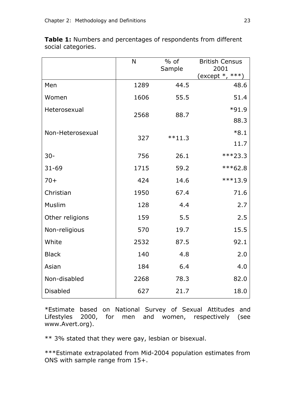|                  | N    | $%$ of    | <b>British Census</b>     |
|------------------|------|-----------|---------------------------|
|                  |      | Sample    | 2001<br>$(except *, ***)$ |
| Men              | 1289 | 44.5      | 48.6                      |
| Women            | 1606 | 55.5      | 51.4                      |
| Heterosexual     | 2568 | 88.7      | $*91.9$                   |
|                  |      |           | 88.3                      |
| Non-Heterosexual | 327  | $***11.3$ | $*8.1$                    |
|                  |      |           | 11.7                      |
| $30 -$           | 756  | 26.1      | $***23.3$                 |
| $31 - 69$        | 1715 | 59.2      | $***62.8$                 |
| $70+$            | 424  | 14.6      | $***13.9$                 |
| Christian        | 1950 | 67.4      | 71.6                      |
| Muslim           | 128  | 4.4       | 2.7                       |
| Other religions  | 159  | 5.5       | 2.5                       |
| Non-religious    | 570  | 19.7      | 15.5                      |
| White            | 2532 | 87.5      | 92.1                      |
| <b>Black</b>     | 140  | 4.8       | 2.0                       |
| Asian            | 184  | 6.4       | 4.0                       |
| Non-disabled     | 2268 | 78.3      | 82.0                      |
| <b>Disabled</b>  | 627  | 21.7      | 18.0                      |

**Table 1:** Numbers and percentages of respondents from different social categories.

\*Estimate based on National Survey of Sexual Attitudes and Lifestyles 2000, for men and women, respectively (see www.Avert.org).

\*\* 3% stated that they were gay, lesbian or bisexual.

\*\*\*Estimate extrapolated from Mid-2004 population estimates from ONS with sample range from 15+.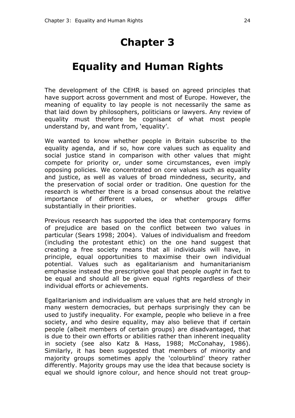# **Chapter 3**

# **Equality and Human Rights**

The development of the CEHR is based on agreed principles that have support across government and most of Europe. However, the meaning of equality to lay people is not necessarily the same as that laid down by philosophers, politicians or lawyers. Any review of equality must therefore be cognisant of what most people understand by, and want from, 'equality'.

We wanted to know whether people in Britain subscribe to the equality agenda, and if so, how core values such as equality and social justice stand in comparison with other values that might compete for priority or, under some circumstances, even imply opposing policies. We concentrated on core values such as equality and justice, as well as values of broad mindedness, security, and the preservation of social order or tradition. One question for the research is whether there is a broad consensus about the relative importance of different values, or whether groups differ substantially in their priorities.

Previous research has supported the idea that contemporary forms of prejudice are based on the conflict between two values in particular (Sears 1998; 2004). Values of individualism and freedom (including the protestant ethic) on the one hand suggest that creating a free society means that all individuals will have, in principle, equal opportunities to maximise their own individual potential. Values such as egalitarianism and humanitarianism emphasise instead the prescriptive goal that people *ought* in fact to be equal and should all be given equal rights regardless of their individual efforts or achievements.

Egalitarianism and individualism are values that are held strongly in many western democracies, but perhaps surprisingly they can be used to justify inequality. For example, people who believe in a free society, and who desire equality, may also believe that if certain people (albeit members of certain groups) are disadvantaged, that is due to their own efforts or abilities rather than inherent inequality in society (see also Katz & Hass, 1988; McConahay, 1986). Similarly, it has been suggested that members of minority and majority groups sometimes apply the 'colourblind' theory rather differently. Majority groups may use the idea that because society is equal we should ignore colour, and hence should not treat group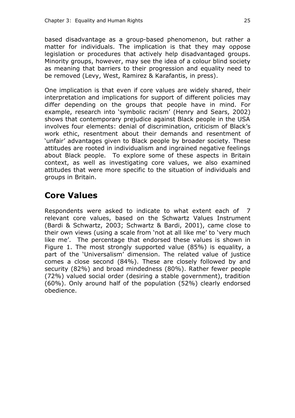based disadvantage as a group-based phenomenon, but rather a matter for individuals. The implication is that they may oppose legislation or procedures that actively help disadvantaged groups. Minority groups, however, may see the idea of a colour blind society as meaning that barriers to their progression and equality need to be removed (Levy, West, Ramirez & Karafantis, in press).

One implication is that even if core values are widely shared, their interpretation and implications for support of different policies may differ depending on the groups that people have in mind. For example, research into 'symbolic racism' (Henry and Sears, 2002) shows that contemporary prejudice against Black people in the USA involves four elements: denial of discrimination, criticism of Black's work ethic, resentment about their demands and resentment of 'unfair' advantages given to Black people by broader society. These attitudes are rooted in individualism and ingrained negative feelings about Black people. To explore some of these aspects in Britain context, as well as investigating core values, we also examined attitudes that were more specific to the situation of individuals and groups in Britain.

## **Core Values**

Respondents were asked to indicate to what extent each of 7 relevant core values, based on the Schwartz Values Instrument (Bardi & Schwartz, 2003; Schwartz & Bardi, 2001), came close to their own views (using a scale from 'not at all like me' to 'very much like me'. The percentage that endorsed these values is shown in Figure 1. The most strongly supported value (85%) is equality, a part of the 'Universalism' dimension. The related value of justice comes a close second (84%). These are closely followed by and security (82%) and broad mindedness (80%). Rather fewer people (72%) valued social order (desiring a stable government), tradition (60%). Only around half of the population (52%) clearly endorsed obedience.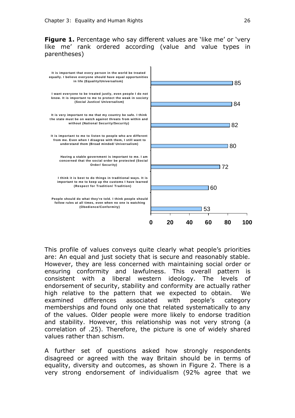**Figure 1.** Percentage who say different values are 'like me' or 'very like me' rank ordered according (value and value types in parentheses)



This profile of values conveys quite clearly what people's priorities are: An equal and just society that is secure and reasonably stable. However, they are less concerned with maintaining social order or ensuring conformity and lawfulness. This overall pattern is consistent with a liberal western ideology. The levels of endorsement of security, stability and conformity are actually rather high relative to the pattern that we expected to obtain. We examined differences associated with people's category memberships and found only one that related systematically to any of the values. Older people were more likely to endorse tradition and stability. However, this relationship was not very strong (a correlation of .25). Therefore, the picture is one of widely shared values rather than schism.

A further set of questions asked how strongly respondents disagreed or agreed with the way Britain should be in terms of equality, diversity and outcomes, as shown in Figure 2. There is a very strong endorsement of individualism (92% agree that we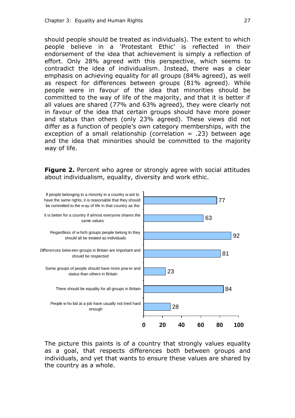should people should be treated as individuals). The extent to which people believe in a 'Protestant Ethic' is reflected in their endorsement of the idea that achievement is simply a reflection of effort. Only 28% agreed with this perspective, which seems to contradict the idea of individualism. Instead, there was a clear emphasis on achieving equality for all groups (84% agreed), as well as respect for differences between groups (81% agreed). While people were in favour of the idea that minorities should be committed to the way of life of the majority, and that it is better if all values are shared (77% and 63% agreed), they were clearly not in favour of the idea that certain groups should have more power and status than others (only 23% agreed). These views did not differ as a function of people's own category memberships, with the exception of a small relationship (correlation  $= .23$ ) between age and the idea that minorities should be committed to the majority way of life.

**Figure 2.** Percent who agree or strongly agree with social attitudes about individualism, equality, diversity and work ethic.



The picture this paints is of a country that strongly values equality as a goal, that respects differences both between groups and individuals, and yet that wants to ensure these values are shared by the country as a whole.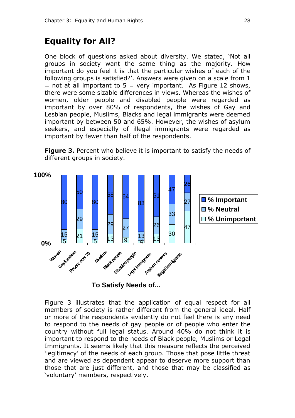## **Equality for All?**

One block of questions asked about diversity. We stated, 'Not all groups in society want the same thing as the majority. How important do you feel it is that the particular wishes of each of the following groups is satisfied?'. Answers were given on a scale from 1  $=$  not at all important to 5  $=$  very important. As Figure 12 shows, there were some sizable differences in views. Whereas the wishes of women, older people and disabled people were regarded as important by over 80% of respondents, the wishes of Gay and Lesbian people, Muslims, Blacks and legal immigrants were deemed important by between 50 and 65%. However, the wishes of asylum seekers, and especially of illegal immigrants were regarded as important by fewer than half of the respondents.

**Figure 3.** Percent who believe it is important to satisfy the needs of different groups in society.



**To Satisfy Needs of...**

Figure 3 illustrates that the application of equal respect for all members of society is rather different from the general ideal. Half or more of the respondents evidently do not feel there is any need to respond to the needs of gay people or of people who enter the country without full legal status. Around 40% do not think it is important to respond to the needs of Black people, Muslims or Legal Immigrants. It seems likely that this measure reflects the perceived 'legitimacy' of the needs of each group. Those that pose little threat and are viewed as dependent appear to deserve more support than those that are just different, and those that may be classified as 'voluntary' members, respectively.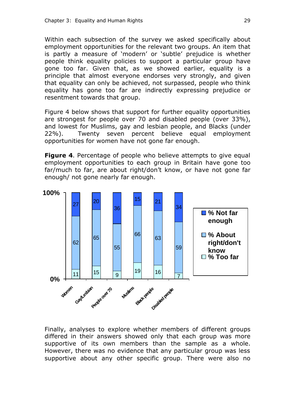Within each subsection of the survey we asked specifically about employment opportunities for the relevant two groups. An item that is partly a measure of 'modern' or 'subtle' prejudice is whether people think equality policies to support a particular group have gone too far. Given that, as we showed earlier, equality is a principle that almost everyone endorses very strongly, and given that equality can only be achieved, not surpassed, people who think equality has gone too far are indirectly expressing prejudice or resentment towards that group.

Figure 4 below shows that support for further equality opportunities are strongest for people over 70 and disabled people (over 33%), and lowest for Muslims, gay and lesbian people, and Blacks (under 22%). Twenty seven percent believe equal employment opportunities for women have not gone far enough.

**Figure 4.** Percentage of people who believe attempts to give equal employment opportunities to each group in Britain have gone too far/much to far, are about right/don't know, or have not gone far enough/ not gone nearly far enough.



Finally, analyses to explore whether members of different groups differed in their answers showed only that each group was more supportive of its own members than the sample as a whole. However, there was no evidence that any particular group was less supportive about any other specific group. There were also no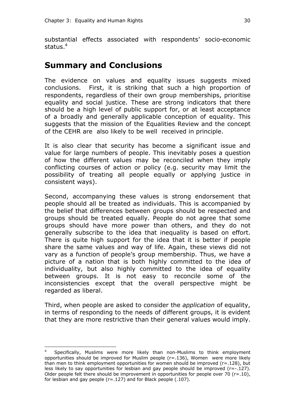substantial effects associated with respondents' socio-economic status.<sup>4</sup>

### **Summary and Conclusions**

The evidence on values and equality issues suggests mixed conclusions. First, it is striking that such a high proportion of respondents, regardless of their own group memberships, prioritise equality and social justice. These are strong indicators that there should be a high level of public support for, or at least acceptance of a broadly and generally applicable conception of equality. This suggests that the mission of the Equalities Review and the concept of the CEHR are also likely to be well received in principle.

It is also clear that security has become a significant issue and value for large numbers of people. This inevitably poses a question of how the different values may be reconciled when they imply conflicting courses of action or policy (e.g. security may limit the possibility of treating all people equally or applying justice in consistent ways).

Second, accompanying these values is strong endorsement that people should all be treated as individuals. This is accompanied by the belief that differences between groups should be respected and groups should be treated equally. People do not agree that some groups should have more power than others, and they do not generally subscribe to the idea that inequality is based on effort. There is quite high support for the idea that it is better if people share the same values and way of life. Again, these views did not vary as a function of people's group membership. Thus, we have a picture of a nation that is both highly committed to the idea of individuality, but also highly committed to the idea of equality between groups. It is not easy to reconcile some of the inconsistencies except that the overall perspective might be regarded as liberal.

Third, when people are asked to consider the *application* of equality, in terms of responding to the needs of different groups, it is evident that they are more restrictive than their general values would imply.

 $\overline{a}$ 

<sup>4</sup> Specifically, Muslims were more likely than non-Muslims to think employment opportunities should be improved for Muslim people  $(r=.136)$ , Women were more likely than men to think employment opportunities for women should be improved  $(r=.128)$ , but less likely to say opportunities for lesbian and gay people should be improved (r=-.127). Older people felt there should be improvement in opportunities for people over 70 ( $r=.10$ ), for lesbian and gay people (r=.127) and for Black people (.107).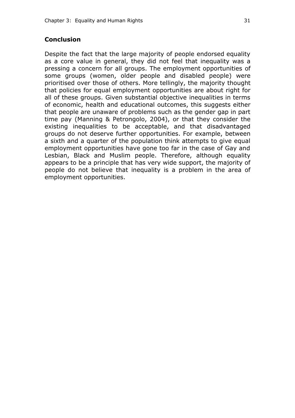### **Conclusion**

Despite the fact that the large majority of people endorsed equality as a core value in general, they did not feel that inequality was a pressing a concern for all groups. The employment opportunities of some groups (women, older people and disabled people) were prioritised over those of others. More tellingly, the majority thought that policies for equal employment opportunities are about right for all of these groups. Given substantial objective inequalities in terms of economic, health and educational outcomes, this suggests either that people are unaware of problems such as the gender gap in part time pay (Manning & Petrongolo, 2004), or that they consider the existing inequalities to be acceptable, and that disadvantaged groups do not deserve further opportunities. For example, between a sixth and a quarter of the population think attempts to give equal employment opportunities have gone too far in the case of Gay and Lesbian, Black and Muslim people. Therefore, although equality appears to be a principle that has very wide support, the majority of people do not believe that inequality is a problem in the area of employment opportunities.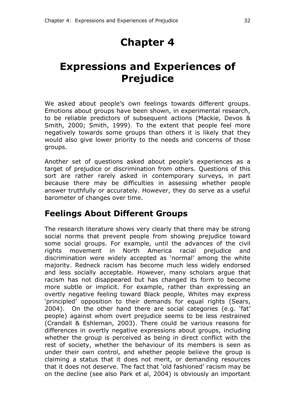# **Expressions and Experiences of Prejudice**

We asked about people's own feelings towards different groups. Emotions about groups have been shown, in experimental research, to be reliable predictors of subsequent actions (Mackie, Devos & Smith, 2000; Smith, 1999). To the extent that people feel more negatively towards some groups than others it is likely that they would also give lower priority to the needs and concerns of those groups.

Another set of questions asked about people's experiences as a target of prejudice or discrimination from others. Questions of this sort are rather rarely asked in contemporary surveys, in part because there may be difficulties in assessing whether people answer truthfully or accurately. However, they do serve as a useful barometer of changes over time.

## **Feelings About Different Groups**

The research literature shows very clearly that there may be strong social norms that prevent people from showing prejudice toward some social groups. For example, until the advances of the civil rights movement in North America racial prejudice and discrimination were widely accepted as 'normal' among the white majority. Redneck racism has become much less widely endorsed and less socially acceptable. However, many scholars argue that racism has not disappeared but has changed its form to become more subtle or implicit. For example, rather than expressing an overtly negative feeling toward Black people, Whites may express 'principled' opposition to their demands for equal rights (Sears, 2004). On the other hand there are social categories (e.g. 'fat' people) against whom overt prejudice seems to be less restrained (Crandall & Eshleman, 2003). There could be various reasons for differences in overtly negative expressions about groups, including whether the group is perceived as being in direct conflict with the rest of society, whether the behaviour of its members is seen as under their own control, and whether people believe the group is claiming a status that it does not merit, or demanding resources that it does not deserve. The fact that 'old fashioned' racism may be on the decline (see also Park et al, 2004) is obviously an important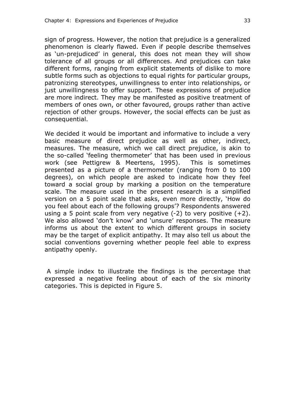sign of progress. However, the notion that prejudice is a generalized phenomenon is clearly flawed. Even if people describe themselves as 'un-prejudiced' in general, this does not mean they will show tolerance of all groups or all differences. And prejudices can take different forms, ranging from explicit statements of dislike to more subtle forms such as objections to equal rights for particular groups, patronizing stereotypes, unwillingness to enter into relationships, or just unwillingness to offer support. These expressions of prejudice are more indirect. They may be manifested as positive treatment of members of ones own, or other favoured, groups rather than active rejection of other groups. However, the social effects can be just as consequential.

We decided it would be important and informative to include a very basic measure of direct prejudice as well as other, indirect, measures. The measure, which we call direct prejudice, is akin to the so-called 'feeling thermometer' that has been used in previous work (see Pettigrew & Meertens, 1995). This is sometimes presented as a picture of a thermometer (ranging from 0 to 100 degrees), on which people are asked to indicate how they feel toward a social group by marking a position on the temperature scale. The measure used in the present research is a simplified version on a 5 point scale that asks, even more directly, 'How do you feel about each of the following groups'? Respondents answered using a 5 point scale from very negative  $(-2)$  to very positive  $(+2)$ . We also allowed 'don't know' and 'unsure' responses. The measure informs us about the extent to which different groups in society may be the target of explicit antipathy. It may also tell us about the social conventions governing whether people feel able to express antipathy openly.

A simple index to illustrate the findings is the percentage that expressed a negative feeling about of each of the six minority categories. This is depicted in Figure 5.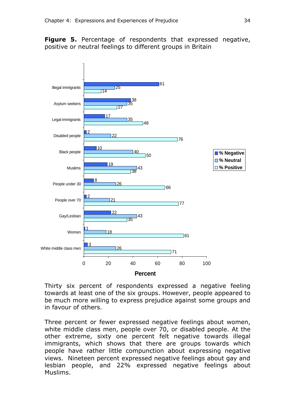**Figure 5.** Percentage of respondents that expressed negative, positive or neutral feelings to different groups in Britain



Thirty six percent of respondents expressed a negative feeling towards at least one of the six groups. However, people appeared to be much more willing to express prejudice against some groups and in favour of others.

Three percent or fewer expressed negative feelings about women, white middle class men, people over 70, or disabled people. At the other extreme, sixty one percent felt negative towards illegal immigrants, which shows that there are groups towards which people have rather little compunction about expressing negative views. Nineteen percent expressed negative feelings about gay and lesbian people, and 22% expressed negative feelings about Muslims.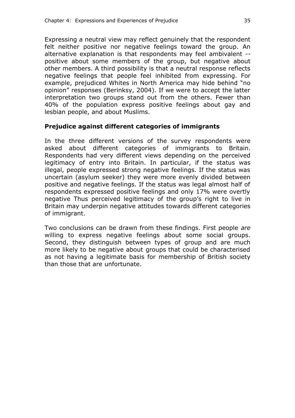Expressing a neutral view may reflect genuinely that the respondent felt neither positive nor negative feelings toward the group. An alternative explanation is that respondents may feel ambivalent - positive about some members of the group, but negative about other members. A third possibility is that a neutral response reflects negative feelings that people feel inhibited from expressing. For example, prejudiced Whites in North America may hide behind "no opinion" responses (Berinksy, 2004). If we were to accept the latter interpretation two groups stand out from the others. Fewer than 40% of the population express positive feelings about gay and lesbian people, and about Muslims.

### **Prejudice against different categories of immigrants**

In the three different versions of the survey respondents were asked about different categories of immigrants to Britain. Respondents had very different views depending on the perceived legitimacy of entry into Britain. In particular, if the status was illegal, people expressed strong negative feelings. If the status was uncertain (asylum seeker) they were more evenly divided between positive and negative feelings. If the status was legal almost half of respondents expressed positive feelings and only 17% were overtly negative Thus perceived legitimacy of the group's right to live in Britain may underpin negative attitudes towards different categories of immigrant.

Two conclusions can be drawn from these findings. First people *are* willing to express negative feelings about some social groups. Second, they distinguish between types of group and are much more likely to be negative about groups that could be characterised as not having a legitimate basis for membership of British society than those that are unfortunate.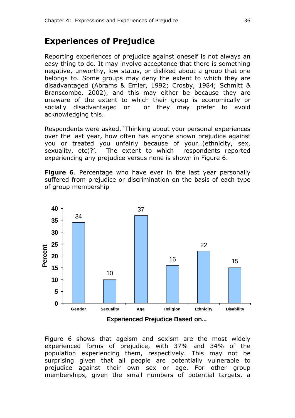## **Experiences of Prejudice**

Reporting experiences of prejudice against oneself is not always an easy thing to do. It may involve acceptance that there is something negative, unworthy, low status, or disliked about a group that one belongs to. Some groups may deny the extent to which they are disadvantaged (Abrams & Emler, 1992; Crosby, 1984; Schmitt & Branscombe, 2002), and this may either be because they are unaware of the extent to which their group is economically or socially disadvantaged or or they may prefer to avoid acknowledging this.

Respondents were asked, 'Thinking about your personal experiences over the last year, how often has anyone shown prejudice against you or treated you unfairly because of your..(ethnicity, sex, sexuality, etc)?'. The extent to which respondents reported experiencing any prejudice versus none is shown in Figure 6.

**Figure 6**. Percentage who have ever in the last year personally suffered from prejudice or discrimination on the basis of each type of group membership



Figure 6 shows that ageism and sexism are the most widely experienced forms of prejudice, with 37% and 34% of the population experiencing them, respectively. This may not be surprising given that all people are potentially vulnerable to prejudice against their own sex or age. For other group memberships, given the small numbers of potential targets, a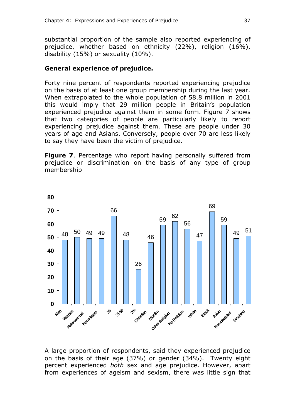substantial proportion of the sample also reported experiencing of prejudice, whether based on ethnicity (22%), religion (16%), disability (15%) or sexuality (10%).

### **General experience of prejudice.**

Forty nine percent of respondents reported experiencing prejudice on the basis of at least one group membership during the last year. When extrapolated to the whole population of 58.8 million in 2001 this would imply that 29 million people in Britain's population experienced prejudice against them in some form. Figure 7 shows that two categories of people are particularly likely to report experiencing prejudice against them. These are people under 30 years of age and Asians. Conversely, people over 70 are less likely to say they have been the victim of prejudice.

**Figure 7.** Percentage who report having personally suffered from prejudice or discrimination on the basis of any type of group membership



A large proportion of respondents, said they experienced prejudice on the basis of their age (37%) or gender (34%). Twenty eight percent experienced *both* sex and age prejudice. However, apart from experiences of ageism and sexism, there was little sign that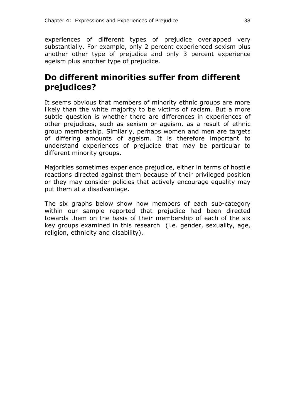experiences of different types of prejudice overlapped very substantially. For example, only 2 percent experienced sexism plus another other type of prejudice and only 3 percent experience ageism plus another type of prejudice.

## **Do different minorities suffer from different prejudices?**

It seems obvious that members of minority ethnic groups are more likely than the white majority to be victims of racism. But a more subtle question is whether there are differences in experiences of other prejudices, such as sexism or ageism, as a result of ethnic group membership. Similarly, perhaps women and men are targets of differing amounts of ageism. It is therefore important to understand experiences of prejudice that may be particular to different minority groups.

Majorities sometimes experience prejudice, either in terms of hostile reactions directed against them because of their privileged position or they may consider policies that actively encourage equality may put them at a disadvantage.

The six graphs below show how members of each sub-category within our sample reported that prejudice had been directed towards them on the basis of their membership of each of the six key groups examined in this research (i.e. gender, sexuality, age, religion, ethnicity and disability).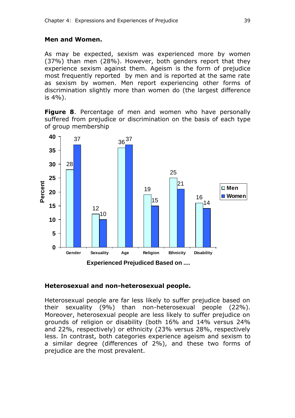#### **Men and Women.**

As may be expected, sexism was experienced more by women (37%) than men (28%). However, both genders report that they experience sexism against them. Ageism is the form of prejudice most frequently reported by men and is reported at the same rate as sexism by women. Men report experiencing other forms of discrimination slightly more than women do (the largest difference is 4%).

**Figure 8**. Percentage of men and women who have personally suffered from prejudice or discrimination on the basis of each type of group membership



#### **Heterosexual and non-heterosexual people.**

Heterosexual people are far less likely to suffer prejudice based on their sexuality (9%) than non-heterosexual people (22%). Moreover, heterosexual people are less likely to suffer prejudice on grounds of religion or disability (both 16% and 14% versus 24% and 22%, respectively) or ethnicity (23% versus 28%, respectively less. In contrast, both categories experience ageism and sexism to a similar degree (differences of 2%), and these two forms of prejudice are the most prevalent.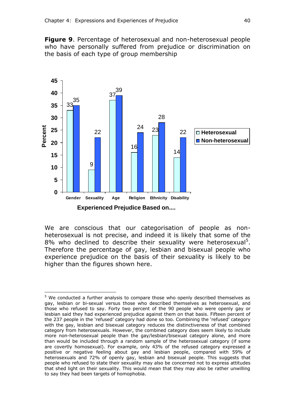**Figure 9**. Percentage of heterosexual and non-heterosexual people who have personally suffered from prejudice or discrimination on the basis of each type of group membership



We are conscious that our categorisation of people as nonheterosexual is not precise, and indeed it is likely that some of the 8% who declined to describe their sexuality were heterosexual<sup>5</sup>. Therefore the percentage of gay, lesbian and bisexual people who experience prejudice on the basis of their sexuality is likely to be higher than the figures shown here.

 $\overline{a}$ 

<sup>&</sup>lt;sup>5</sup> We conducted a further analysis to compare those who openly described themselves as gay, lesbian or bi-sexual versus those who described themselves as heterosexual, and those who refused to say. Forty two percent of the 90 people who were openly gay or lesbian said they had experienced prejudice against them on that basis. Fifteen percent of the 237 people in the 'refused' category had done so too. Combining the 'refused' category with the gay, lesbian and bisexual category reduces the distinctiveness of that combined category from heterosexuals. However, the combined category does seem likely to include more non-heterosexual people than the gay/lesbian/bisexual category alone, and more than would be included through a random sample of the heterosexual category (if some are covertly homosexual). For example, only 43% of the refused category expressed a positive or negative feeling about gay and lesbian people, compared with 59% of heterosexuals and 72% of openly gay, lesbian and bisexual people. This suggests that people who refused to state their sexuality may also be concerned not to express attitudes that shed light on their sexuality. This would mean that they may also be rather unwilling to say they had been targets of homophobia.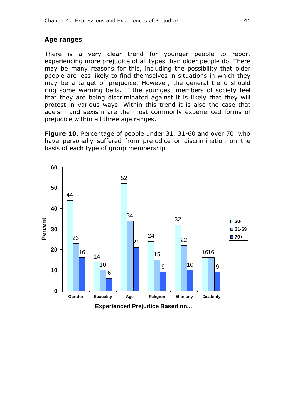#### **Age ranges**

There is a very clear trend for younger people to report experiencing more prejudice of all types than older people do. There may be many reasons for this, including the possibility that older people are less likely to find themselves in situations in which they may be a target of prejudice. However, the general trend should ring some warning bells. If the youngest members of society feel that they are being discriminated against it is likely that they will protest in various ways. Within this trend it is also the case that ageism and sexism are the most commonly experienced forms of prejudice within all three age ranges.

**Figure 10**. Percentage of people under 31, 31-60 and over 70 who have personally suffered from prejudice or discrimination on the basis of each type of group membership

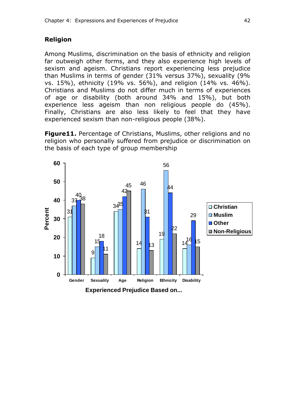### **Religion**

Among Muslims, discrimination on the basis of ethnicity and religion far outweigh other forms, and they also experience high levels of sexism and ageism. Christians report experiencing less prejudice than Muslims in terms of gender (31% versus 37%), sexuality (9% vs. 15%), ethnicity (19% vs. 56%), and religion (14% vs. 46%). Christians and Muslims do not differ much in terms of experiences of age or disability (both around 34% and 15%), but both experience less ageism than non religious people do (45%). Finally, Christians are also less likely to feel that they have experienced sexism than non-religious people (38%).

**Figure11.** Percentage of Christians, Muslims, other religions and no religion who personally suffered from prejudice or discrimination on the basis of each type of group membership

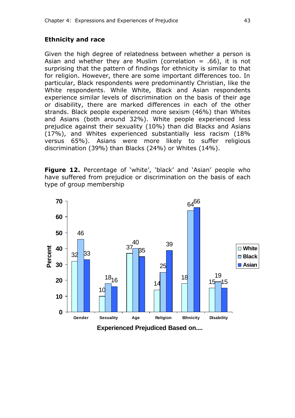### **Ethnicity and race**

Given the high degree of relatedness between whether a person is Asian and whether they are Muslim (correlation  $= .66$ ), it is not surprising that the pattern of findings for ethnicity is similar to that for religion. However, there are some important differences too. In particular, Black respondents were predominantly Christian, like the White respondents. While White, Black and Asian respondents experience similar levels of discrimination on the basis of their age or disability, there are marked differences in each of the other strands. Black people experienced more sexism (46%) than Whites and Asians (both around 32%). White people experienced less prejudice against their sexuality (10%) than did Blacks and Asians (17%), and Whites experienced substantially less racism (18% versus 65%). Asians were more likely to suffer religious discrimination (39%) than Blacks (24%) or Whites (14%).

**Figure 12.** Percentage of 'white', 'black' and 'Asian' people who have suffered from prejudice or discrimination on the basis of each type of group membership

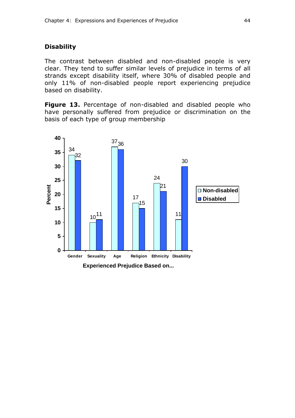#### **Disability**

The contrast between disabled and non-disabled people is very clear. They tend to suffer similar levels of prejudice in terms of all strands except disability itself, where 30% of disabled people and only 11% of non-disabled people report experiencing prejudice based on disability.

**Figure 13.** Percentage of non-disabled and disabled people who have personally suffered from prejudice or discrimination on the basis of each type of group membership

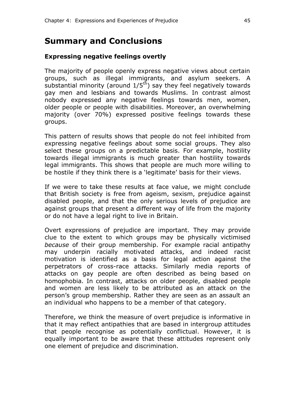## **Summary and Conclusions**

### **Expressing negative feelings overtly**

The majority of people openly express negative views about certain groups, such as illegal immigrants, and asylum seekers. A substantial minority (around  $1/5<sup>th</sup>$ ) say they feel negatively towards gay men and lesbians and towards Muslims. In contrast almost nobody expressed any negative feelings towards men, women, older people or people with disabilities. Moreover, an overwhelming majority (over 70%) expressed positive feelings towards these groups.

This pattern of results shows that people do not feel inhibited from expressing negative feelings about some social groups. They also select these groups on a predictable basis. For example, hostility towards illegal immigrants is much greater than hostility towards legal immigrants. This shows that people are much more willing to be hostile if they think there is a 'legitimate' basis for their views.

If we were to take these results at face value, we might conclude that British society is free from ageism, sexism, prejudice against disabled people, and that the only serious levels of prejudice are against groups that present a different way of life from the majority or do not have a legal right to live in Britain.

Overt expressions of prejudice are important. They may provide clue to the extent to which groups may be physically victimised *because* of their group membership. For example racial antipathy may underpin racially motivated attacks, and indeed racist motivation is identified as a basis for legal action against the perpetrators of cross-race attacks. Similarly media reports of attacks on gay people are often described as being based on homophobia. In contrast, attacks on older people, disabled people and women are less likely to be attributed as an attack on the person's group membership. Rather they are seen as an assault an an individual who happens to be a member of that category.

Therefore, we think the measure of overt prejudice is informative in that it may reflect antipathies that are based in intergroup attitudes that people recognise as potentially conflictual. However, it is equally important to be aware that these attitudes represent only one element of prejudice and discrimination.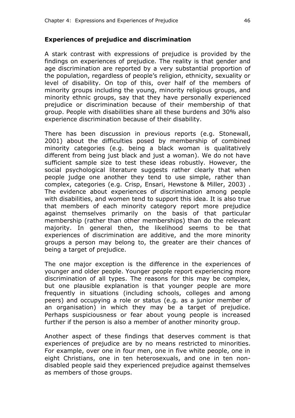### **Experiences of prejudice and discrimination**

A stark contrast with expressions of prejudice is provided by the findings on experiences of prejudice. The reality is that gender and age discrimination are reported by a very substantial proportion of the population, regardless of people's religion, ethnicity, sexuality or level of disability. On top of this, over half of the members of minority groups including the young, minority religious groups, and minority ethnic groups, say that they have personally experienced prejudice or discrimination because of their membership of that group. People with disabilities share all these burdens and 30% also experience discrimination because of their disability.

There has been discussion in previous reports (e.g. Stonewall, 2001) about the difficulties posed by membership of combined minority categories (e.g. being a black woman is qualitatively different from being just black and just a woman). We do not have sufficient sample size to test these ideas robustly. However, the social psychological literature suggests rather clearly that when people judge one another they tend to use simple, rather than complex, categories (e.g. Crisp, Ensari, Hewstone & Miller, 2003) . The evidence about experiences of discrimination among people with disabilities, and women tend to support this idea. It is also true that members of each minority category report more prejudice against themselves primarily on the basis of that particular membership (rather than other memberships) than do the relevant majority. In general then, the likelihood seems to be that experiences of discrimination are additive, and the more minority groups a person may belong to, the greater are their chances of being a target of prejudice.

The one major exception is the difference in the experiences of younger and older people. Younger people report experiencing more discrimination of all types. The reasons for this may be complex, but one plausible explanation is that younger people are more frequently in situations (including schools, colleges and among peers) and occupying a role or status (e.g. as a junior member of an organisation) in which they may be a target of prejudice. Perhaps suspiciousness or fear about young people is increased further if the person is also a member of another minority group.

Another aspect of these findings that deserves comment is that experiences of prejudice are by no means restricted to minorities. For example, over one in four men, one in five white people, one in eight Christians, one in ten heterosexuals, and one in ten nondisabled people said they experienced prejudice against themselves as members of those groups.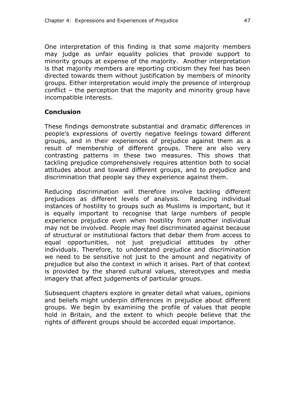One interpretation of this finding is that some majority members may judge as unfair equality policies that provide support to minority groups at expense of the majority. Another interpretation is that majority members are reporting criticism they feel has been directed towards them without justification by members of minority groups. Either interpretation would imply the presence of intergroup conflict – the perception that the majority and minority group have incompatible interests.

### **Conclusion**

These findings demonstrate substantial and dramatic differences in people's expressions of overtly negative feelings toward different groups, and in their experiences of prejudice against them as a result of membership of different groups. There are also very contrasting patterns in these two measures. This shows that tackling prejudice comprehensively requires attention both to social attitudes about and toward different groups, and to prejudice and discrimination that people say they experience against them.

Reducing discrimination will therefore involve tackling different prejudices as different levels of analysis. Reducing individual instances of hostility to groups such as Muslims is important, but it is equally important to recognise that large numbers of people experience prejudice even when hostility from another individual may not be involved. People may feel discriminated against because of structural or institutional factors that debar them from access to equal opportunities, not just prejudicial attitudes by other individuals. Therefore, to understand prejudice and discrimination we need to be sensitive not just to the amount and negativity of prejudice but also the context in which it arises. Part of that context is provided by the shared cultural values, stereotypes and media imagery that affect judgements of particular groups.

Subsequent chapters explore in greater detail what values, opinions and beliefs might underpin differences in prejudice about different groups. We begin by examining the profile of values that people hold in Britain, and the extent to which people believe that the rights of different groups should be accorded equal importance.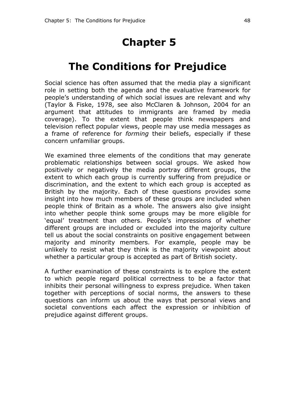# **Chapter 5**

# **The Conditions for Prejudice**

Social science has often assumed that the media play a significant role in setting both the agenda and the evaluative framework for people's understanding of which social issues are relevant and why (Taylor & Fiske, 1978, see also McClaren & Johnson, 2004 for an argument that attitudes to immigrants are framed by media coverage). To the extent that people think newspapers and television reflect popular views, people may use media messages as a frame of reference for *forming* their beliefs, especially if these concern unfamiliar groups.

We examined three elements of the conditions that may generate problematic relationships between social groups. We asked how positively or negatively the media portray different groups, the extent to which each group is currently suffering from prejudice or discrimination, and the extent to which each group is accepted as British by the majority. Each of these questions provides some insight into how much members of these groups are included when people think of Britain as a whole. The answers also give insight into whether people think some groups may be more eligible for 'equal' treatment than others. People's impressions of whether different groups are included or excluded into the majority culture tell us about the social constraints on positive engagement between majority and minority members. For example, people may be unlikely to resist what they think is the majority viewpoint about whether a particular group is accepted as part of British society.

A further examination of these constraints is to explore the extent to which people regard political correctness to be a factor that inhibits their personal willingness to express prejudice. When taken together with perceptions of social norms, the answers to these questions can inform us about the ways that personal views and societal conventions each affect the expression or inhibition of prejudice against different groups.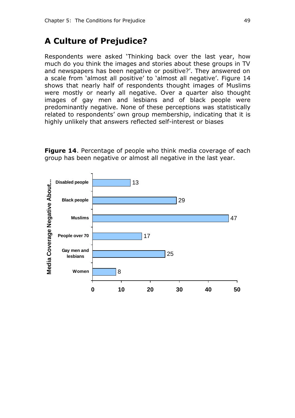### **A Culture of Prejudice?**

Respondents were asked 'Thinking back over the last year, how much do you think the images and stories about these groups in TV and newspapers has been negative or positive?'. They answered on a scale from 'almost all positive' to 'almost all negative'. Figure 14 shows that nearly half of respondents thought images of Muslims were mostly or nearly all negative. Over a quarter also thought images of gay men and lesbians and of black people were predominantly negative. None of these perceptions was statistically related to respondents' own group membership, indicating that it is highly unlikely that answers reflected self-interest or biases

**Figure 14**. Percentage of people who think media coverage of each group has been negative or almost all negative in the last year.

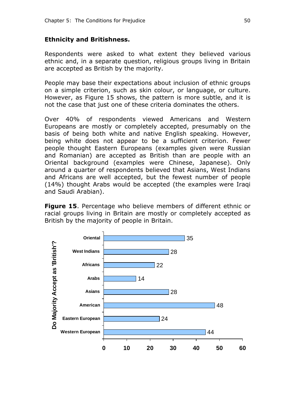### **Ethnicity and Britishness.**

Respondents were asked to what extent they believed various ethnic and, in a separate question, religious groups living in Britain are accepted as British by the majority.

People may base their expectations about inclusion of ethnic groups on a simple criterion, such as skin colour, or language, or culture. However, as Figure 15 shows, the pattern is more subtle, and it is not the case that just one of these criteria dominates the others.

Over 40% of respondents viewed Americans and Western Europeans are mostly or completely accepted, presumably on the basis of being both white and native English speaking. However, being white does not appear to be a sufficient criterion. Fewer people thought Eastern Europeans (examples given were Russian and Romanian) are accepted as British than are people with an Oriental background (examples were Chinese, Japanese). Only around a quarter of respondents believed that Asians, West Indians and Africans are well accepted, but the fewest number of people (14%) thought Arabs would be accepted (the examples were Iraqi and Saudi Arabian).

**Figure 15**. Percentage who believe members of different ethnic or racial groups living in Britain are mostly or completely accepted as British by the majority of people in Britain.

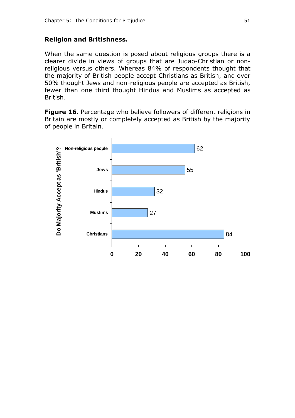### **Religion and Britishness.**

When the same question is posed about religious groups there is a clearer divide in views of groups that are Judao-Christian or nonreligious versus others. Whereas 84% of respondents thought that the majority of British people accept Christians as British, and over 50% thought Jews and non-religious people are accepted as British, fewer than one third thought Hindus and Muslims as accepted as British.

**Figure 16.** Percentage who believe followers of different religions in Britain are mostly or completely accepted as British by the majority of people in Britain.

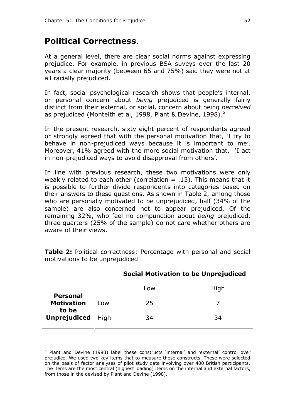## **Political Correctness**.

At a general level, there are clear social norms against expressing prejudice. For example, in previous BSA suveys over the last 20 years a clear majority (between 65 and 75%) said they were not at all racially prejudiced.

In fact, social psychological research shows that people's internal, or personal concern about *being* prejudiced is generally fairly distinct from their external, or social, concern about being *perceived* as prejudiced (Monteith et al, 1998, Plant & Devine, 1998).<sup>6</sup>

In the present research, sixty eight percent of respondents agreed or strongly agreed that with the personal motivation that, 'I try to behave in non-prejudiced ways because it is important to me'. Moreover, 41% agreed with the more social motivation that, 'I act in non-prejudiced ways to avoid disapproval from others'.

In line with previous research, these two motivations were only weakly related to each other (correlation  $= .13$ ). This means that it is possible to further divide respondents into categories based on their answers to these questions. As shown in Table 2, among those who are personally motivated to be unprejudiced, half (34% of the sample) are also concerned not to appear prejudiced. Of the remaining 32%, who feel no compunction about *being* prejudiced, three quarters (25% of the sample) do not care whether others are aware of their views.

|                                               |      | <b>Social Motivation to be Unprejudiced</b> |      |
|-----------------------------------------------|------|---------------------------------------------|------|
|                                               |      | Low                                         | High |
| <b>Personal</b><br><b>Motivation</b><br>to be | Low  | 25                                          |      |
| <b>Unprejudiced</b>                           | High | 34                                          | 34   |

**Table 2:** Political correctness: Percentage with personal and social motivations to be unprejudiced

 $\overline{a}$ 

<sup>&</sup>lt;sup>6</sup> Plant and Devine (1998) label these constructs 'internal' and 'external' control over prejudice. We used two key items that to measure these constructs. These were selected on the basis of factor analyses of pilot study data involving over 400 British participants. The items are the most central (highest loading) items on the internal and external factors, from those in the devised by Plant and Devine (1998).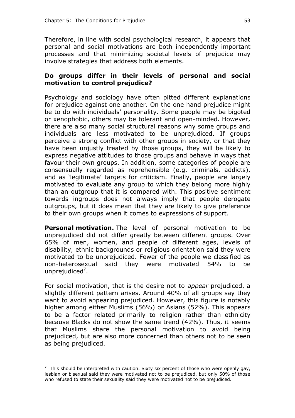Therefore, in line with social psychological research, it appears that personal and social motivations are both independently important processes and that minimizing societal levels of prejudice may involve strategies that address both elements.

### **Do groups differ in their levels of personal and social motivation to control prejudice?**

Psychology and sociology have often pitted different explanations for prejudice against one another. On the one hand prejudice might be to do with individuals' personality. Some people may be bigoted or xenophobic, others may be tolerant and open-minded. However, there are also many social structural reasons why some groups and individuals are less motivated to be unprejudiced. If groups perceive a strong conflict with other groups in society, or that they have been unjustly treated by those groups, they will be likely to express negative attitudes to those groups and behave in ways that favour their own groups. In addition, some categories of people are consensually regarded as reprehensible (e.g. criminals, addicts), and as 'legitimate' targets for criticism. Finally, people are largely motivated to evaluate any group to which they belong more highly than an outgroup that it is compared with. This positive sentiment towards ingroups does not always imply that people derogate outgroups, but it does mean that they are likely to give preference to their own groups when it comes to expressions of support.

**Personal motivation.** The level of personal motivation to be unprejudiced did not differ greatly between different groups. Over 65% of men, women, and people of different ages, levels of disability, ethnic backgrounds or religious orientation said they were motivated to be unprejudiced. Fewer of the people we classified as non-heterosexual said they were motivated 54% to be unprejudiced<sup>7</sup>.

For social motivation, that is the desire not to *appear* prejudiced, a slightly different pattern arises. Around 40% of all groups say they want to avoid appearing prejudiced. However, this figure is notably higher among either Muslims (56%) or Asians (52%). This appears to be a factor related primarily to religion rather than ethnicity because Blacks do not show the same trend (42%). Thus, it seems that Muslims share the personal motivation to avoid being prejudiced, but are also more concerned than others not to be seen as being prejudiced.

 $\overline{a}$ 

 $7$  This should be interpreted with caution. Sixty six percent of those who were openly gay, lesbian or bisexual said they were motivated not to be prejudiced, but only 50% of those who refused to state their sexuality said they were motivated not to be prejudiced.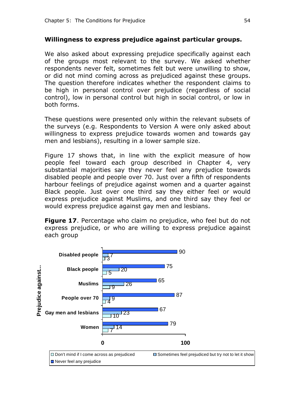### **Willingness to express prejudice against particular groups.**

We also asked about expressing prejudice specifically against each of the groups most relevant to the survey. We asked whether respondents never felt, sometimes felt but were unwilling to show, or did not mind coming across as prejudiced against these groups. The question therefore indicates whether the respondent claims to be high in personal control over prejudice (regardless of social control), low in personal control but high in social control, or low in both forms.

These questions were presented only within the relevant subsets of the surveys (e.g. Respondents to Version A were only asked about willingness to express prejudice towards women and towards gay men and lesbians), resulting in a lower sample size.

Figure 17 shows that, in line with the explicit measure of how people feel toward each group described in Chapter 4, very substantial majorities say they never feel any prejudice towards disabled people and people over 70. Just over a fifth of respondents harbour feelings of prejudice against women and a quarter against Black people. Just over one third say they either feel or would express prejudice against Muslims, and one third say they feel or would express prejudice against gay men and lesbians.

**Figure 17.** Percentage who claim no prejudice, who feel but do not express prejudice, or who are willing to express prejudice against each group

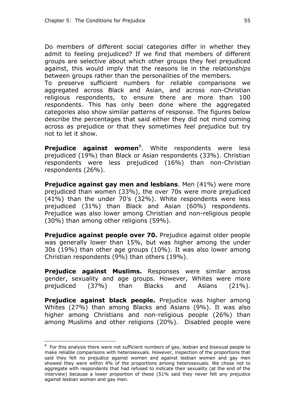Do members of different social categories differ in whether they admit to feeling prejudiced? If we find that members of different groups are selective about which other groups they feel prejudiced against, this would imply that the reasons lie in the *relationships* between groups rather than the personalities of the members.

To preserve sufficient numbers for reliable comparisons we aggregated across Black and Asian, and across non-Christian religious respondents, to ensure there are more than 100 respondents. This has only been done where the aggregated categories also show similar patterns of response. The figures below describe the percentages that said either they did not mind coming across as prejudice or that they sometimes feel prejudice but try not to let it show.

Prejudice against women<sup>8</sup>. White respondents were less prejudiced (19%) than Black or Asian respondents (33%). Christian respondents were less prejudiced (16%) than non-Christian respondents (26%).

**Prejudice against gay men and lesbians**. Men (41%) were more prejudiced than women (33%), the over 70s were more prejudiced (41%) than the under 70's (32%). White respondents were less prejudiced (31%) than Black and Asian (60%) respondents. Prejudice was also lower among Christian and non-religious people (30%) than among other religions (59%).

**Prejudice against people over 70.** Prejudice against older people was generally lower than 15%, but was higher among the under 30s (19%) than other age groups (10%). It was also lower among Christian respondents (9%) than others (19%).

**Prejudice against Muslims.** Responses were similar across gender, sexuality and age groups. However, Whites were more prejudiced (37%) than Blacks and Asians (21%).

**Prejudice against black people.** Prejudice was higher among Whites (27%) than among Blacks and Asians (9%). It was also higher among Christians and non-religious people (26%) than among Muslims and other religions (20%). Disabled people were

 $\overline{a}$ 

 $8\,$  For this analysis there were not sufficient numbers of gay, lesbian and bisexual people to make reliable comparisons with heterosexuals. However, inspection of the proportions that said they felt no prejudice against women and against lesbian women and gay men showed they were within 4% of the proportions among heterosexuals. We chose not to aggregate with respondents that had refused to indicate their sexuality (at the end of the interview) because a lower proportion of these (51% said they never felt any prejudice against lesbian women and gay men.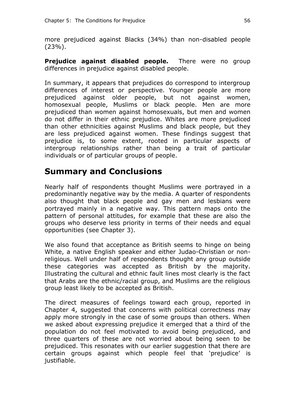more prejudiced against Blacks (34%) than non-disabled people (23%).

**Prejudice against disabled people.** There were no group differences in prejudice against disabled people.

In summary, it appears that prejudices do correspond to intergroup differences of interest or perspective. Younger people are more prejudiced against older people, but not against women, homosexual people, Muslims or black people. Men are more prejudiced than women against homosexuals, but men and women do not differ in their ethnic prejudice. Whites are more prejudiced than other ethnicities against Muslims and black people, but they are less prejudiced against women. These findings suggest that prejudice is, to some extent, rooted in particular aspects of intergroup relationships rather than being a trait of particular individuals or of particular groups of people.

## **Summary and Conclusions**

Nearly half of respondents thought Muslims were portrayed in a predominantly negative way by the media. A quarter of respondents also thought that black people and gay men and lesbians were portrayed mainly in a negative way. This pattern maps onto the pattern of personal attitudes, for example that these are also the groups who deserve less priority in terms of their needs and equal opportunities (see Chapter 3).

We also found that acceptance as British seems to hinge on being White, a native English speaker and either Judao-Christian or nonreligious. Well under half of respondents thought any group outside these categories was accepted as British by the majority. Illustrating the cultural and ethnic fault lines most clearly is the fact that Arabs are the ethnic/racial group, and Muslims are the religious group least likely to be accepted as British.

The direct measures of feelings toward each group, reported in Chapter 4, suggested that concerns with political correctness may apply more strongly in the case of some groups than others. When we asked about expressing prejudice it emerged that a third of the population do not feel motivated to avoid being prejudiced, and three quarters of these are not worried about being seen to be prejudiced. This resonates with our earlier suggestion that there are certain groups against which people feel that 'prejudice' is justifiable.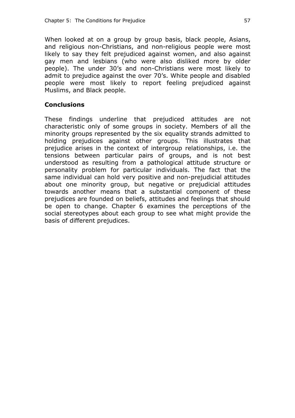When looked at on a group by group basis, black people, Asians, and religious non-Christians, and non-religious people were most likely to say they felt prejudiced against women, and also against gay men and lesbians (who were also disliked more by older people). The under 30's and non-Christians were most likely to admit to prejudice against the over 70's. White people and disabled people were most likely to report feeling prejudiced against Muslims, and Black people.

### **Conclusions**

These findings underline that prejudiced attitudes are not characteristic only of some groups in society. Members of all the minority groups represented by the six equality strands admitted to holding prejudices against other groups. This illustrates that prejudice arises in the context of intergroup relationships, i.e. the tensions between particular pairs of groups, and is not best understood as resulting from a pathological attitude structure or personality problem for particular individuals. The fact that the same individual can hold very positive and non-prejudicial attitudes about one minority group, but negative or prejudicial attitudes towards another means that a substantial component of these prejudices are founded on beliefs, attitudes and feelings that should be open to change. Chapter 6 examines the perceptions of the social stereotypes about each group to see what might provide the basis of different prejudices.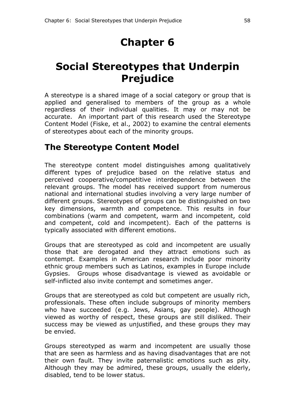# **Chapter 6**

# **Social Stereotypes that Underpin Prejudice**

A stereotype is a shared image of a social category or group that is applied and generalised to members of the group as a whole regardless of their individual qualities. It may or may not be accurate. An important part of this research used the Stereotype Content Model (Fiske, et al., 2002) to examine the central elements of stereotypes about each of the minority groups.

## **The Stereotype Content Model**

The stereotype content model distinguishes among qualitatively different types of prejudice based on the relative status and perceived cooperative/competitive interdependence between the relevant groups. The model has received support from numerous national and international studies involving a very large number of different groups. Stereotypes of groups can be distinguished on two key dimensions, warmth and competence. This results in four combinations (warm and competent, warm and incompetent, cold and competent, cold and incompetent). Each of the patterns is typically associated with different emotions.

Groups that are stereotyped as cold and incompetent are usually those that are derogated and they attract emotions such as contempt. Examples in American research include poor minority ethnic group members such as Latinos, examples in Europe include Gypsies. Groups whose disadvantage is viewed as avoidable or self-inflicted also invite contempt and sometimes anger.

Groups that are stereotyped as cold but competent are usually rich, professionals. These often include subgroups of minority members who have succeeded (e.g. Jews, Asians, gay people). Although viewed as worthy of respect, these groups are still disliked. Their success may be viewed as unjustified, and these groups they may be envied.

Groups stereotyped as warm and incompetent are usually those that are seen as harmless and as having disadvantages that are not their own fault. They invite paternalistic emotions such as pity. Although they may be admired, these groups, usually the elderly, disabled, tend to be lower status.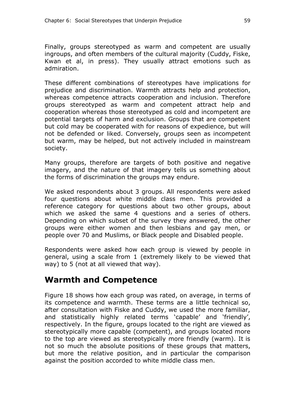Finally, groups stereotyped as warm and competent are usually ingroups, and often members of the cultural majority (Cuddy, Fiske, Kwan et al, in press). They usually attract emotions such as admiration.

These different combinations of stereotypes have implications for prejudice and discrimination. Warmth attracts help and protection, whereas competence attracts cooperation and inclusion. Therefore groups stereotyped as warm and competent attract help and cooperation whereas those stereotyped as cold and incompetent are potential targets of harm and exclusion. Groups that are competent but cold may be cooperated with for reasons of expedience, but will not be defended or liked. Conversely, groups seen as incompetent but warm, may be helped, but not actively included in mainstream society.

Many groups, therefore are targets of both positive and negative imagery, and the nature of that imagery tells us something about the forms of discrimination the groups may endure.

We asked respondents about 3 groups. All respondents were asked four questions about white middle class men. This provided a reference category for questions about two other groups, about which we asked the same 4 questions and a series of others. Depending on which subset of the survey they answered, the other groups were either women and then lesbians and gay men, or people over 70 and Muslims, or Black people and Disabled people.

Respondents were asked how each group is viewed by people in general, using a scale from 1 (extremely likely to be viewed that way) to 5 (not at all viewed that way).

## **Warmth and Competence**

Figure 18 shows how each group was rated, on average, in terms of its competence and warmth. These terms are a little technical so, after consultation with Fiske and Cuddy, we used the more familiar, and statistically highly related terms 'capable' and 'friendly', respectively. In the figure, groups located to the right are viewed as stereotypically more capable (competent), and groups located more to the top are viewed as stereotypically more friendly (warm). It is not so much the absolute positions of these groups that matters, but more the relative position, and in particular the comparison against the position accorded to white middle class men.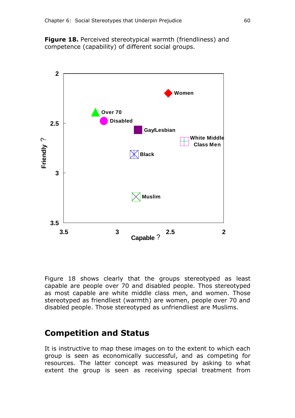**Figure 18.** Perceived stereotypical warmth (friendliness) and competence (capability) of different social groups.



Figure 18 shows clearly that the groups stereotyped as least capable are people over 70 and disabled people. Thos stereotyped as most capable are white middle class men, and women. Those stereotyped as friendliest (warmth) are women, people over 70 and disabled people. Those stereotyped as unfriendliest are Muslims.

### **Competition and Status**

It is instructive to map these images on to the extent to which each group is seen as economically successful, and as competing for resources. The latter concept was measured by asking to what extent the group is seen as receiving special treatment from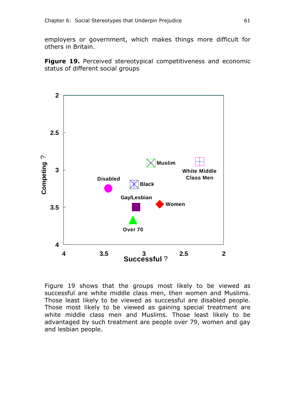employers or government, which makes things more difficult for others in Britain.

**Figure 19.** Perceived stereotypical competitiveness and economic status of different social groups



Figure 19 shows that the groups most likely to be viewed as successful are white middle class men, then women and Muslims. Those least likely to be viewed as successful are disabled people. Those most likely to be viewed as gaining special treatment are white middle class men and Muslims. Those least likely to be advantaged by such treatment are people over 79, women and gay and lesbian people.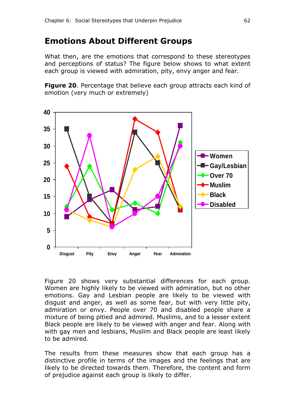### **Emotions About Different Groups**

What then, are the emotions that correspond to these stereotypes and perceptions of status? The figure below shows to what extent each group is viewed with admiration, pity, envy anger and fear.

**Figure 20**. Percentage that believe each group attracts each kind of emotion (very much or extremely)



Figure 20 shows very substantial differences for each group. Women are highly likely to be viewed with admiration, but no other emotions. Gay and Lesbian people are likely to be viewed with disgust and anger, as well as some fear, but with very little pity, admiration or envy. People over 70 and disabled people share a mixture of being pitied and admired. Muslims, and to a lesser extent Black people are likely to be viewed with anger and fear. Along with with gay men and lesbians, Muslim and Black people are least likely to be admired.

The results from these measures show that each group has a distinctive profile in terms of the images and the feelings that are likely to be directed towards them. Therefore, the content and form of prejudice against each group is likely to differ.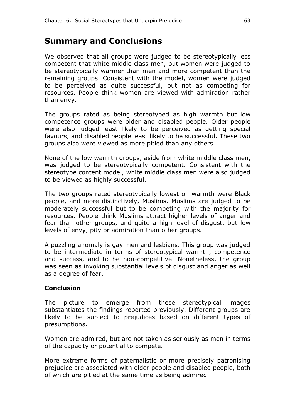### **Summary and Conclusions**

We observed that all groups were judged to be stereotypically less competent that white middle class men, but women were judged to be stereotypically warmer than men and more competent than the remaining groups. Consistent with the model, women were judged to be perceived as quite successful, but not as competing for resources. People think women are viewed with admiration rather than envy.

The groups rated as being stereotyped as high warmth but low competence groups were older and disabled people. Older people were also judged least likely to be perceived as getting special favours, and disabled people least likely to be successful. These two groups also were viewed as more pitied than any others.

None of the low warmth groups, aside from white middle class men, was judged to be stereotypically competent. Consistent with the stereotype content model, white middle class men were also judged to be viewed as highly successful.

The two groups rated stereotypically lowest on warmth were Black people, and more distinctively, Muslims. Muslims are judged to be moderately successful but to be competing with the majority for resources. People think Muslims attract higher levels of anger and fear than other groups, and quite a high level of disgust, but low levels of envy, pity or admiration than other groups.

A puzzling anomaly is gay men and lesbians. This group was judged to be intermediate in terms of stereotypical warmth, competence and success, and to be non-competitive. Nonetheless, the group was seen as invoking substantial levels of disgust and anger as well as a degree of fear.

#### **Conclusion**

The picture to emerge from these stereotypical images substantiates the findings reported previously. Different groups are likely to be subject to prejudices based on different types of presumptions.

Women are admired, but are not taken as seriously as men in terms of the capacity or potential to compete.

More extreme forms of paternalistic or more precisely patronising prejudice are associated with older people and disabled people, both of which are pitied at the same time as being admired.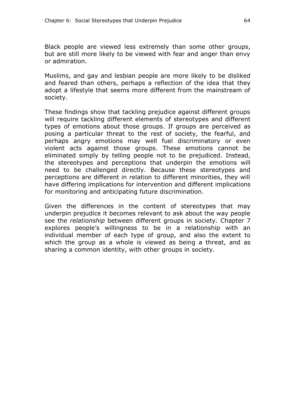Black people are viewed less extremely than some other groups, but are still more likely to be viewed with fear and anger than envy or admiration.

Muslims, and gay and lesbian people are more likely to be disliked and feared than others, perhaps a reflection of the idea that they adopt a lifestyle that seems more different from the mainstream of society.

These findings show that tackling prejudice against different groups will require tackling different elements of stereotypes and different types of emotions about those groups. If groups are perceived as posing a particular threat to the rest of society, the fearful, and perhaps angry emotions may well fuel discriminatory or even violent acts against those groups. These emotions cannot be eliminated simply by telling people not to be prejudiced. Instead, the stereotypes and perceptions that underpin the emotions will need to be challenged directly. Because these stereotypes and perceptions are different in relation to different minorities, they will have differing implications for intervention and different implications for monitoring and anticipating future discrimination.

Given the differences in the content of stereotypes that may underpin prejudice it becomes relevant to ask about the way people see the *relationship* between different groups in society. Chapter 7 explores people's willingness to be in a relationship with an individual member of each type of group, and also the extent to which the group as a whole is viewed as being a threat, and as sharing a common identity, with other groups in society.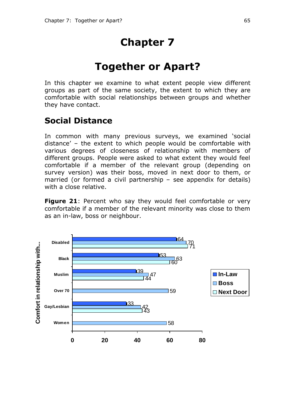# **Chapter 7**

# **Together or Apart?**

In this chapter we examine to what extent people view different groups as part of the same society, the extent to which they are comfortable with social relationships between groups and whether they have contact.

## **Social Distance**

In common with many previous surveys, we examined 'social distance' – the extent to which people would be comfortable with various degrees of closeness of relationship with members of different groups. People were asked to what extent they would feel comfortable if a member of the relevant group (depending on survey version) was their boss, moved in next door to them, or married (or formed a civil partnership – see appendix for details) with a close relative.

**Figure 21:** Percent who say they would feel comfortable or very comfortable if a member of the relevant minority was close to them as an in-law, boss or neighbour.

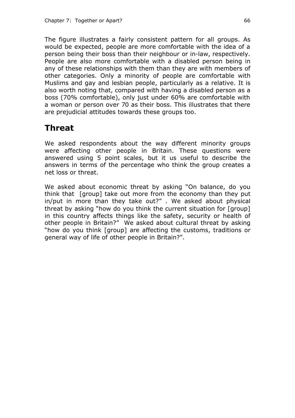The figure illustrates a fairly consistent pattern for all groups. As would be expected, people are more comfortable with the idea of a person being their boss than their neighbour or in-law, respectively. People are also more comfortable with a disabled person being in any of these relationships with them than they are with members of other categories. Only a minority of people are comfortable with Muslims and gay and lesbian people, particularly as a relative. It is also worth noting that, compared with having a disabled person as a boss (70% comfortable), only just under 60% are comfortable with a woman or person over 70 as their boss. This illustrates that there are prejudicial attitudes towards these groups too.

# **Threat**

We asked respondents about the way different minority groups were affecting other people in Britain. These questions were answered using 5 point scales, but it us useful to describe the answers in terms of the percentage who think the group creates a net loss or threat.

We asked about economic threat by asking "On balance, do you think that [group] take out more from the economy than they put in/put in more than they take out?" . We asked about physical threat by asking "how do you think the current situation for [group] in this country affects things like the safety, security or health of other people in Britain?" We asked about cultural threat by asking "how do you think [group] are affecting the customs, traditions or general way of life of other people in Britain?".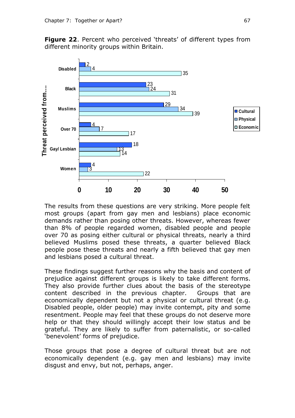**Figure 22**. Percent who perceived 'threats' of different types from different minority groups within Britain.



The results from these questions are very striking. More people felt most groups (apart from gay men and lesbians) place economic demands rather than posing other threats. However, whereas fewer than 8% of people regarded women, disabled people and people over 70 as posing either cultural or physical threats, nearly a third believed Muslims posed these threats, a quarter believed Black people pose these threats and nearly a fifth believed that gay men and lesbians posed a cultural threat.

These findings suggest further reasons why the basis and content of prejudice against different groups is likely to take different forms. They also provide further clues about the basis of the stereotype content described in the previous chapter. Groups that are economically dependent but not a physical or cultural threat (e.g. Disabled people, older people) may invite contempt, pity and some resentment. People may feel that these groups do not deserve more help or that they should willingly accept their low status and be grateful. They are likely to suffer from paternalistic, or so-called 'benevolent' forms of prejudice.

Those groups that pose a degree of cultural threat but are not economically dependent (e.g. gay men and lesbians) may invite disgust and envy, but not, perhaps, anger.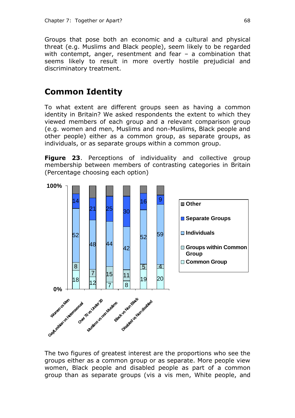Groups that pose both an economic and a cultural and physical threat (e.g. Muslims and Black people), seem likely to be regarded with contempt, anger, resentment and fear – a combination that seems likely to result in more overtly hostile prejudicial and discriminatory treatment.

## **Common Identity**

To what extent are different groups seen as having a common identity in Britain? We asked respondents the extent to which they viewed members of each group and a relevant comparison group (e.g. women and men, Muslims and non-Muslims, Black people and other people) either as a common group, as separate groups, as individuals, or as separate groups within a common group.

**Figure 23.** Perceptions of individuality and collective group membership between members of contrasting categories in Britain (Percentage choosing each option)



The two figures of greatest interest are the proportions who see the groups either as a common group or as separate. More people view women, Black people and disabled people as part of a common group than as separate groups (vis a vis men, White people, and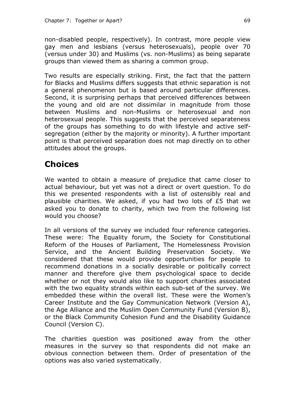non-disabled people, respectively). In contrast, more people view gay men and lesbians (versus heterosexuals), people over 70 (versus under 30) and Muslims (vs. non-Muslims) as being separate groups than viewed them as sharing a common group.

Two results are especially striking. First, the fact that the pattern for Blacks and Muslims differs suggests that ethnic separation is not a general phenomenon but is based around particular differences. Second, it is surprising perhaps that perceived differences between the young and old are not dissimilar in magnitude from those between Muslims and non-Muslims or heterosexual and non heterosexual people. This suggests that the perceived separateness of the groups has something to do with lifestyle and active selfsegregation (either by the majority or minority). A further important point is that perceived separation does not map directly on to other attitudes about the groups.

# **Choices**

We wanted to obtain a measure of prejudice that came closer to actual behaviour, but yet was not a direct or overt question. To do this we presented respondents with a list of ostensibly real and plausible charities. We asked, if you had two lots of £5 that we asked you to donate to charity, which two from the following list would you choose?

In all versions of the survey we included four reference categories. These were: The Equality forum, the Society for Constitutional Reform of the Houses of Parliament, The Homelessness Provision Service, and the Ancient Building Preservation Society. We considered that these would provide opportunities for people to recommend donations in a socially desirable or politically correct manner and therefore give them psychological space to decide whether or not they would also like to support charities associated with the two equality strands within each sub-set of the survey. We embedded these within the overall list. These were the Women's Career Institute and the Gay Communication Network (Version A), the Age Alliance and the Muslim Open Community Fund (Version B), or the Black Community Cohesion Fund and the Disability Guidance Council (Version C).

The charities question was positioned away from the other measures in the survey so that respondents did not make an obvious connection between them. Order of presentation of the options was also varied systematically.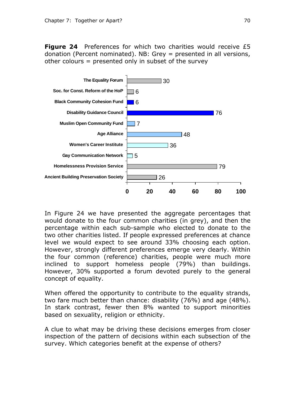**Figure 24** Preferences for which two charities would receive £5 donation (Percent nominated). NB: Grey = presented in all versions, other colours = presented only in subset of the survey



In Figure 24 we have presented the aggregate percentages that would donate to the four common charities (in grey), and then the percentage within each sub-sample who elected to donate to the two other charities listed. If people expressed preferences at chance level we would expect to see around 33% choosing each option. However, strongly different preferences emerge very clearly. Within the four common (reference) charities, people were much more inclined to support homeless people (79%) than buildings. However, 30% supported a forum devoted purely to the general concept of equality.

When offered the opportunity to contribute to the equality strands, two fare much better than chance: disability (76%) and age (48%). In stark contrast, fewer then 8% wanted to support minorities based on sexuality, religion or ethnicity.

A clue to what may be driving these decisions emerges from closer inspection of the pattern of decisions within each subsection of the survey. Which categories benefit at the expense of others?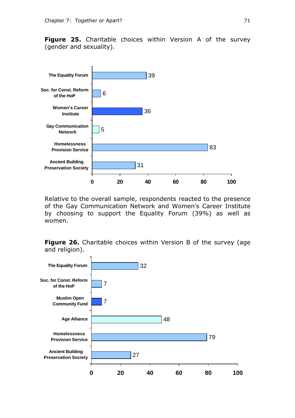**Figure 25.** Charitable choices within Version A of the survey (gender and sexuality).



Relative to the overall sample, respondents reacted to the presence of the Gay Communication Network and Women's Career Institute by choosing to support the Equality Forum (39%) as well as women.

**Figure 26.** Charitable choices within Version B of the survey (age and religion).

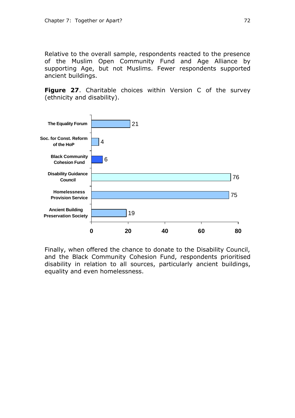Relative to the overall sample, respondents reacted to the presence of the Muslim Open Community Fund and Age Alliance by supporting Age, but not Muslims. Fewer respondents supported ancient buildings.

**Figure 27**. Charitable choices within Version C of the survey (ethnicity and disability).



Finally, when offered the chance to donate to the Disability Council, and the Black Community Cohesion Fund, respondents prioritised disability in relation to all sources, particularly ancient buildings, equality and even homelessness.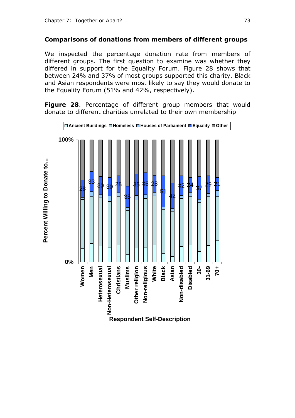#### **Comparisons of donations from members of different groups**

We inspected the percentage donation rate from members of different groups. The first question to examine was whether they differed in support for the Equality Forum. Figure 28 shows that between 24% and 37% of most groups supported this charity. Black and Asian respondents were most likely to say they would donate to the Equality Forum (51% and 42%, respectively).

**Figure 28**. Percentage of different group members that would donate to different charities unrelated to their own membership

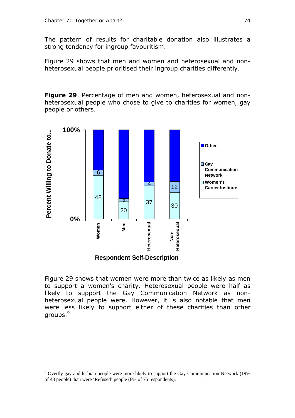The pattern of results for charitable donation also illustrates a strong tendency for ingroup favouritism.

Figure 29 shows that men and women and heterosexual and nonheterosexual people prioritised their ingroup charities differently.

**Figure 29**. Percentage of men and women, heterosexual and nonheterosexual people who chose to give to charities for women, gay people or others.



Figure 29 shows that women were more than twice as likely as men to support a women's charity. Heterosexual people were half as likely to support the Gay Communication Network as nonheterosexual people were. However, it is also notable that men were less likely to support either of these charities than other groups.<sup>9</sup>

 $\overline{a}$ 

<sup>&</sup>lt;sup>9</sup> Overtly gay and lesbian people were more likely to support the Gay Communication Network (19%) of 43 people) than were 'Refused' people (8% of 75 respondents).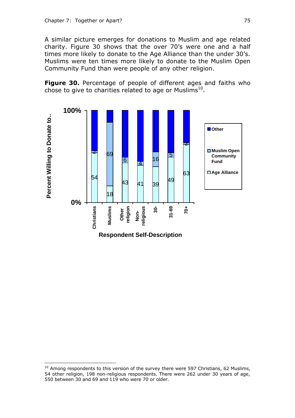A similar picture emerges for donations to Muslim and age related charity. Figure 30 shows that the over 70's were one and a half times more likely to donate to the Age Alliance than the under 30's. Muslims were ten times more likely to donate to the Muslim Open Community Fund than were people of any other religion.

**Figure 30.** Percentage of people of different ages and faiths who chose to give to charities related to age or Muslims $^{10}$ .



 $\overline{a}$ 

 $10$  Among respondents to this version of the survey there were 597 Christians, 62 Muslims, 54 other religion, 198 non-religious respondents. There were 262 under 30 years of age, 550 between 30 and 69 and 119 who were 70 or older.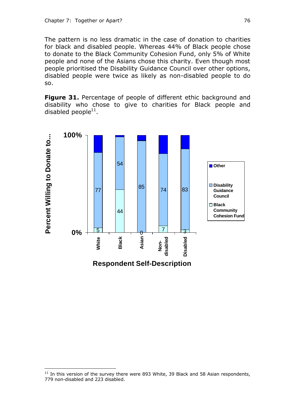The pattern is no less dramatic in the case of donation to charities for black and disabled people. Whereas 44% of Black people chose to donate to the Black Community Cohesion Fund, only 5% of White people and none of the Asians chose this charity. Even though most people prioritised the Disability Guidance Council over other options, disabled people were twice as likely as non-disabled people to do so.

**Figure 31.** Percentage of people of different ethic background and disability who chose to give to charities for Black people and disabled people $^{11}$ .



 $\overline{a}$ 

 $11$  In this version of the survey there were 893 White, 39 Black and 58 Asian respondents, 779 non-disabled and 223 disabled.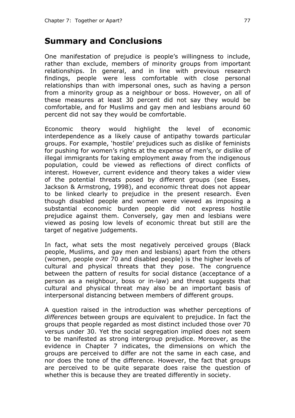### **Summary and Conclusions**

One manifestation of prejudice is people's willingness to include, rather than exclude, members of minority groups from important relationships. In general, and in line with previous research findings, people were less comfortable with close personal relationships than with impersonal ones, such as having a person from a minority group as a neighbour or boss. However, on all of these measures at least 30 percent did not say they would be comfortable, and for Muslims and gay men and lesbians around 60 percent did not say they would be comfortable.

Economic theory would highlight the level of economic interdependence as a likely cause of antipathy towards particular groups. For example, 'hostile' prejudices such as dislike of feminists for pushing for women's rights at the expense of men's, or dislike of illegal immigrants for taking employment away from the indigenous population, could be viewed as reflections of direct conflicts of interest. However, current evidence and theory takes a wider view of the potential threats posed by different groups (see Esses, Jackson & Armstrong, 1998), and economic threat does not appear to be linked clearly to prejudice in the present research. Even though disabled people and women were viewed as imposing a substantial economic burden people did not express hostile prejudice against them. Conversely, gay men and lesbians were viewed as posing low levels of economic threat but still are the target of negative judgements.

In fact, what sets the most negatively perceived groups (Black people, Muslims, and gay men and lesbians) apart from the others (women, people over 70 and disabled people) is the higher levels of cultural and physical threats that they pose. The congruence between the pattern of results for social distance (acceptance of a person as a neighbour, boss or in-law) and threat suggests that cultural and physical threat may also be an important basis of interpersonal distancing between members of different groups.

A question raised in the introduction was whether perceptions of *differences* between groups are equivalent to prejudice. In fact the groups that people regarded as most distinct included those over 70 versus under 30. Yet the social segregation implied does not seem to be manifested as strong intergroup prejudice. Moreover, as the evidence in Chapter 7 indicates, the dimensions on which the groups are perceived to differ are not the same in each case, and nor does the tone of the difference. However, the fact that groups are perceived to be quite separate does raise the question of whether this is because they are treated differently in society.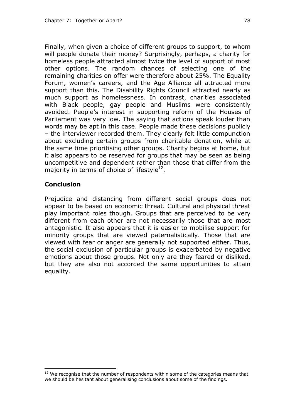Finally, when given a choice of different groups to support, to whom will people donate their money? Surprisingly, perhaps, a charity for homeless people attracted almost twice the level of support of most other options. The random chances of selecting one of the remaining charities on offer were therefore about 25%. The Equality Forum, women's careers, and the Age Alliance all attracted more support than this. The Disability Rights Council attracted nearly as much support as homelessness. In contrast, charities associated with Black people, gay people and Muslims were consistently avoided. People's interest in supporting reform of the Houses of Parliament was very low. The saying that actions speak louder than words may be apt in this case. People made these decisions publicly – the interviewer recorded them. They clearly felt little compunction about excluding certain groups from charitable donation, while at the same time prioritising other groups. Charity begins at home, but it also appears to be reserved for groups that may be seen as being uncompetitive and dependent rather than those that differ from the majority in terms of choice of lifestyle $^{12}$ .

#### **Conclusion**

 $\overline{a}$ 

Prejudice and distancing from different social groups does not appear to be based on economic threat. Cultural and physical threat play important roles though. Groups that are perceived to be very different from each other are not necessarily those that are most antagonistic. It also appears that it is easier to mobilise support for minority groups that are viewed paternalistically. Those that are viewed with fear or anger are generally not supported either. Thus, the social exclusion of particular groups is exacerbated by negative emotions about those groups. Not only are they feared or disliked, but they are also not accorded the same opportunities to attain equality.

 $12$  We recognise that the number of respondents within some of the categories means that we should be hesitant about generalising conclusions about some of the findings.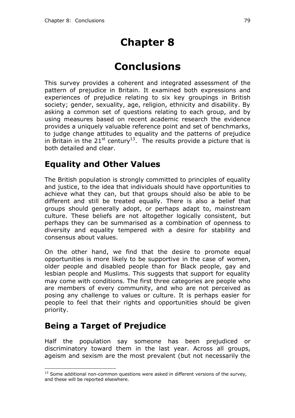# **Chapter 8**

# **Conclusions**

This survey provides a coherent and integrated assessment of the pattern of prejudice in Britain. It examined both expressions and experiences of prejudice relating to six key groupings in British society; gender, sexuality, age, religion, ethnicity and disability. By asking a common set of questions relating to each group, and by using measures based on recent academic research the evidence provides a uniquely valuable reference point and set of benchmarks, to judge change attitudes to equality and the patterns of prejudice in Britain in the 21<sup>st</sup> century<sup>13</sup>. The results provide a picture that is both detailed and clear.

## **Equality and Other Values**

The British population is strongly committed to principles of equality and justice, to the idea that individuals should have opportunities to achieve what they can, but that groups should also be able to be different and still be treated equally. There is also a belief that groups should generally adopt, or perhaps adapt to, mainstream culture. These beliefs are not altogether logically consistent, but perhaps they can be summarised as a combination of openness to diversity and equality tempered with a desire for stability and consensus about values.

On the other hand, we find that the desire to promote equal opportunities is more likely to be supportive in the case of women, older people and disabled people than for Black people, gay and lesbian people and Muslims. This suggests that support for equality may come with conditions. The first three categories are people who are members of every community, and who are not perceived as posing any challenge to values or culture. It is perhaps easier for people to feel that their rights and opportunities should be given priority.

# **Being a Target of Prejudice**

 $\overline{a}$ 

Half the population say someone has been prejudiced or discriminatory toward them in the last year. Across all groups, ageism and sexism are the most prevalent (but not necessarily the

 $13$  Some additional non-common questions were asked in different versions of the survey, and these will be reported elsewhere.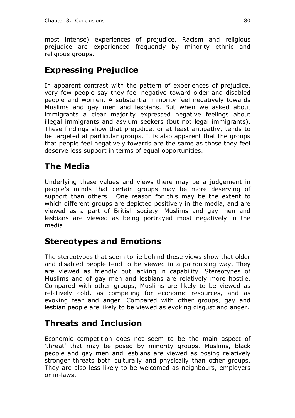most intense) experiences of prejudice. Racism and religious prejudice are experienced frequently by minority ethnic and religious groups.

# **Expressing Prejudice**

In apparent contrast with the pattern of experiences of prejudice, very few people say they feel negative toward older and disabled people and women. A substantial minority feel negatively towards Muslims and gay men and lesbians. But when we asked about immigrants a clear majority expressed negative feelings about illegal immigrants and asylum seekers (but not legal immigrants). These findings show that prejudice, or at least antipathy, tends to be targeted at particular groups. It is also apparent that the groups that people feel negatively towards are the same as those they feel deserve less support in terms of equal opportunities.

## **The Media**

Underlying these values and views there may be a judgement in people's minds that certain groups may be more deserving of support than others. One reason for this may be the extent to which different groups are depicted positively in the media, and are viewed as a part of British society. Muslims and gay men and lesbians are viewed as being portrayed most negatively in the media.

# **Stereotypes and Emotions**

The stereotypes that seem to lie behind these views show that older and disabled people tend to be viewed in a patronising way. They are viewed as friendly but lacking in capability. Stereotypes of Muslims and of gay men and lesbians are relatively more hostile. Compared with other groups, Muslims are likely to be viewed as relatively cold, as competing for economic resources, and as evoking fear and anger. Compared with other groups, gay and lesbian people are likely to be viewed as evoking disgust and anger.

# **Threats and Inclusion**

Economic competition does not seem to be the main aspect of 'threat' that may be posed by minority groups. Muslims, black people and gay men and lesbians are viewed as posing relatively stronger threats both culturally and physically than other groups. They are also less likely to be welcomed as neighbours, employers or in-laws.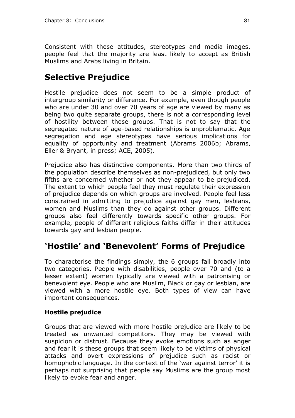Consistent with these attitudes, stereotypes and media images, people feel that the majority are least likely to accept as British Muslims and Arabs living in Britain.

# **Selective Prejudice**

Hostile prejudice does not seem to be a simple product of intergroup similarity or difference. For example, even though people who are under 30 and over 70 years of age are viewed by many as being two quite separate groups, there is not a corresponding level of hostility between those groups. That is not to say that the segregated nature of age-based relationships is unproblematic. Age segregation and age stereotypes have serious implications for equality of opportunity and treatment (Abrams 2006b; Abrams, Eller & Bryant, in press; ACE, 2005).

Prejudice also has distinctive components. More than two thirds of the population describe themselves as non-prejudiced, but only two fifths are concerned whether or not they appear to be prejudiced. The extent to which people feel they must regulate their expression of prejudice depends on which groups are involved. People feel less constrained in admitting to prejudice against gay men, lesbians, women and Muslims than they do against other groups. Different groups also feel differently towards specific other groups. For example, people of different religious faiths differ in their attitudes towards gay and lesbian people.

# **'Hostile' and 'Benevolent' Forms of Prejudice**

To characterise the findings simply, the 6 groups fall broadly into two categories. People with disabilities, people over 70 and (to a lesser extent) women typically are viewed with a patronising or benevolent eye. People who are Muslim, Black or gay or lesbian, are viewed with a more hostile eye. Both types of view can have important consequences.

#### **Hostile prejudice**

Groups that are viewed with more hostile prejudice are likely to be treated as unwanted competitors. They may be viewed with suspicion or distrust. Because they evoke emotions such as anger and fear it is these groups that seem likely to be victims of physical attacks and overt expressions of prejudice such as racist or homophobic language. In the context of the 'war against terror' it is perhaps not surprising that people say Muslims are the group most likely to evoke fear and anger.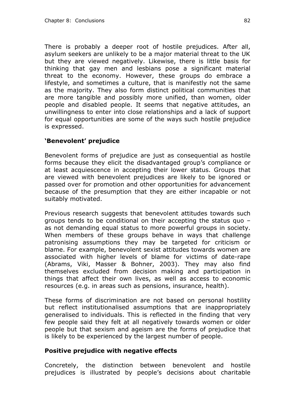There is probably a deeper root of hostile prejudices. After all, asylum seekers are unlikely to be a major material threat to the UK but they are viewed negatively. Likewise, there is little basis for thinking that gay men and lesbians pose a significant material threat to the economy. However, these groups do embrace a lifestyle, and sometimes a culture, that is manifestly not the same as the majority. They also form distinct political communities that are more tangible and possibly more unified, than women, older people and disabled people. It seems that negative attitudes, an unwillingness to enter into close relationships and a lack of support for equal opportunities are some of the ways such hostile prejudice is expressed.

#### **'Benevolent' prejudice**

Benevolent forms of prejudice are just as consequential as hostile forms because they elicit the disadvantaged group's compliance or at least acquiescence in accepting their lower status. Groups that are viewed with benevolent prejudices are likely to be ignored or passed over for promotion and other opportunities for advancement because of the presumption that they are either incapable or not suitably motivated.

Previous research suggests that benevolent attitudes towards such groups tends to be conditional on their accepting the status quo – as not demanding equal status to more powerful groups in society. When members of these groups behave in ways that challenge patronising assumptions they may be targeted for criticism or blame. For example, benevolent sexist attitudes towards women are associated with higher levels of blame for victims of date-rape (Abrams, Viki, Masser & Bohner, 2003). They may also find themselves excluded from decision making and participation in things that affect their own lives, as well as access to economic resources (e.g. in areas such as pensions, insurance, health).

These forms of discrimination are not based on personal hostility but reflect institutionalised assumptions that are inappropriately generalised to individuals. This is reflected in the finding that very few people said they felt at all negatively towards women or older people but that sexism and ageism are the forms of prejudice that is likely to be experienced by the largest number of people.

#### **Positive prejudice with negative effects**

Concretely, the distinction between benevolent and hostile prejudices is illustrated by people's decisions about charitable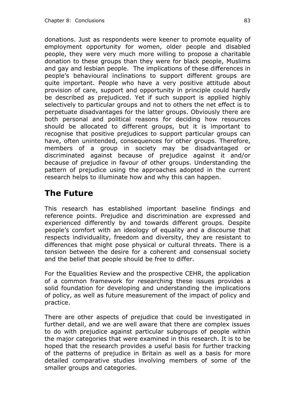donations. Just as respondents were keener to promote equality of employment opportunity for women, older people and disabled people, they were very much more willing to propose a charitable donation to these groups than they were for black people, Muslims and gay and lesbian people. The implications of these differences in people's behavioural inclinations to support different groups are quite important. People who have a very positive attitude about provision of care, support and opportunity in principle could hardly be described as prejudiced. Yet if such support is applied highly selectively to particular groups and not to others the net effect is to perpetuate disadvantages for the latter groups. Obviously there are both personal and political reasons for deciding how resources should be allocated to different groups, but it is important to recognise that positive prejudices to support particular groups can have, often unintended, consequences for other groups. Therefore, members of a group in society may be disadvantaged or discriminated against because of prejudice against it and/or because of prejudice in favour of other groups. Understanding the pattern of prejudice using the approaches adopted in the current research helps to illuminate how and why this can happen.

# **The Future**

This research has established important baseline findings and reference points. Prejudice and discrimination are expressed and experienced differently by and towards different groups. Despite people's comfort with an ideology of equality and a discourse that respects individuality, freedom and diversity, they are resistant to differences that might pose physical or cultural threats. There is a tension between the desire for a coherent and consensual society and the belief that people should be free to differ.

For the Equalities Review and the prospective CEHR, the application of a common framework for researching these issues provides a solid foundation for developing and understanding the implications of policy, as well as future measurement of the impact of policy and practice.

There are other aspects of prejudice that could be investigated in further detail, and we are well aware that there are complex issues to do with prejudice against particular subgroups of people within the major categories that were examined in this research. It is to be hoped that the research provides a useful basis for further tracking of the patterns of prejudice in Britain as well as a basis for more detailed comparative studies involving members of some of the smaller groups and categories.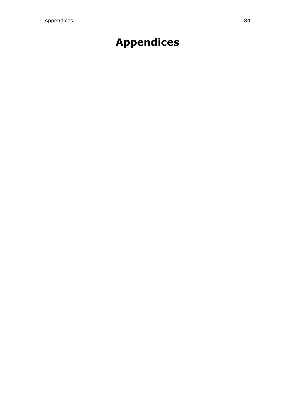# **Appendices**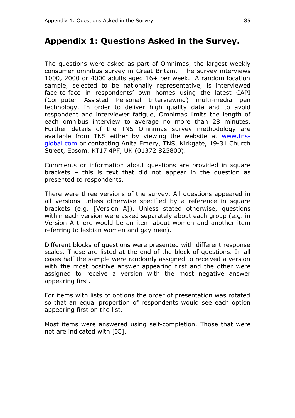### **Appendix 1: Questions Asked in the Survey.**

The questions were asked as part of Omnimas, the largest weekly consumer omnibus survey in Great Britain. The survey interviews 1000, 2000 or 4000 adults aged 16+ per week. A random location sample, selected to be nationally representative, is interviewed face-to-face in respondents' own homes using the latest CAPI (Computer Assisted Personal Interviewing) multi-media pen technology. In order to deliver high quality data and to avoid respondent and interviewer fatigue, Omnimas limits the length of each omnibus interview to average no more than 28 minutes. Further details of the TNS Omnimas survey methodology are available from TNS either by viewing the website at www.tnsglobal.com or contacting Anita Emery, TNS, Kirkgate, 19-31 Church Street, Epsom, KT17 4PF, UK (01372 825800).

Comments or information about questions are provided in square brackets – this is text that did not appear in the question as presented to respondents.

There were three versions of the survey. All questions appeared in all versions unless otherwise specified by a reference in square brackets (e.g. [Version A]). Unless stated otherwise, questions within each version were asked separately about each group (e.g. in Version A there would be an item about women and another item referring to lesbian women and gay men).

Different blocks of questions were presented with different response scales. These are listed at the end of the block of questions. In all cases half the sample were randomly assigned to received a version with the most positive answer appearing first and the other were assigned to receive a version with the most negative answer appearing first.

For items with lists of options the order of presentation was rotated so that an equal proportion of respondents would see each option appearing first on the list.

Most items were answered using self-completion. Those that were not are indicated with [IC].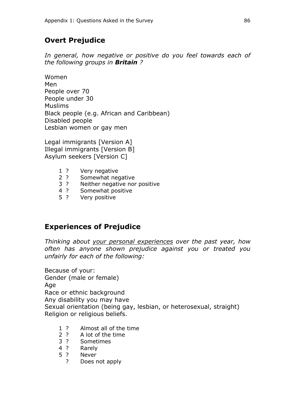### **Overt Prejudice**

*In general, how negative or positive do you feel towards each of the following groups in Britain ?*

Women Men People over 70 People under 30 Muslims Black people (e.g. African and Caribbean) Disabled people Lesbian women or gay men

Legal immigrants [Version A] Illegal immigrants [Version B] Asylum seekers [Version C]

- 1 ? Very negative
- 2 ? Somewhat negative
- 3 ? Neither negative nor positive
- 4 ? Somewhat positive
- 5 ? Very positive

### **Experiences of Prejudice**

*Thinking about your personal experiences over the past year, how often has anyone shown prejudice against you or treated you unfairly for each of the following:*

Because of your: Gender (male or female) Age Race or ethnic background Any disability you may have Sexual orientation (being gay, lesbian, or heterosexual, straight) Religion or religious beliefs.

- 1 ? Almost all of the time
- 2 ? A lot of the time
- 3 ? Sometimes
- 4 ? Rarely
- 5 ? Never
	- ? Does not apply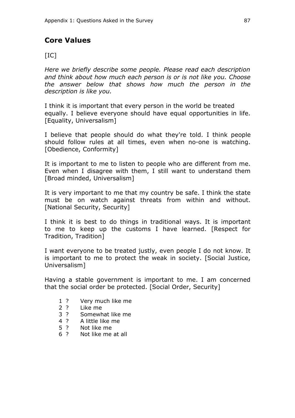### **Core Values**

#### $[IC]$

*Here we briefly describe some people. Please read each description and think about how much each person is or is not like you. Choose the answer below that shows how much the person in the description is like you.*

I think it is important that every person in the world be treated equally. I believe everyone should have equal opportunities in life. [Equality, Universalism]

I believe that people should do what they're told. I think people should follow rules at all times, even when no-one is watching. [Obedience, Conformity]

It is important to me to listen to people who are different from me. Even when I disagree with them, I still want to understand them [Broad minded, Universalism]

It is very important to me that my country be safe. I think the state must be on watch against threats from within and without. [National Security, Security]

I think it is best to do things in traditional ways. It is important to me to keep up the customs I have learned. [Respect for Tradition, Tradition]

I want everyone to be treated justly, even people I do not know. It is important to me to protect the weak in society. [Social Justice, Universalism]

Having a stable government is important to me. I am concerned that the social order be protected. [Social Order, Security]

- 1 ? Very much like me
- 2 ? Like me
- 3 ? Somewhat like me
- 4 ? A little like me
- 5 ? Not like me<br>6 ? Not like me
- Not like me at all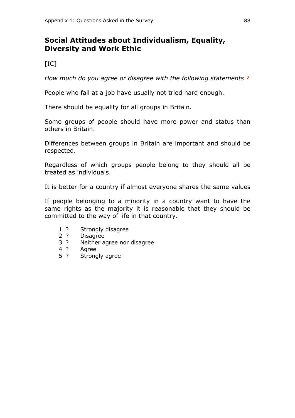### **Social Attitudes about Individualism, Equality, Diversity and Work Ethic**

 $[IC]$ 

*How much do you agree or disagree with the following statements ?*

People who fail at a job have usually not tried hard enough.

There should be equality for all groups in Britain.

Some groups of people should have more power and status than others in Britain.

Differences between groups in Britain are important and should be respected.

Regardless of which groups people belong to they should all be treated as individuals.

It is better for a country if almost everyone shares the same values

If people belonging to a minority in a country want to have the same rights as the majority it is reasonable that they should be committed to the way of life in that country.

- 1 ? Strongly disagree
- 2 ? Disagree
- 3 ? Neither agree nor disagree
- 4 ? Agree
- 5 ? Strongly agree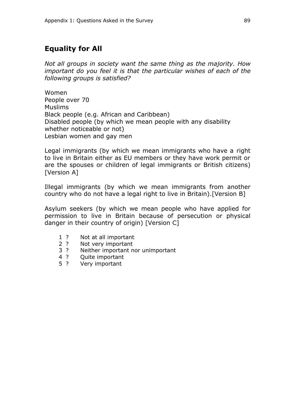### **Equality for All**

*Not all groups in society want the same thing as the majority. How important do you feel it is that the particular wishes of each of the following groups is satisfied?*

Women People over 70 Muslims Black people (e.g. African and Caribbean) Disabled people (by which we mean people with any disability whether noticeable or not) Lesbian women and gay men

Legal immigrants (by which we mean immigrants who have a right to live in Britain either as EU members or they have work permit or are the spouses or children of legal immigrants or British citizens) [Version A]

Illegal immigrants (by which we mean immigrants from another country who do not have a legal right to live in Britain).[Version B]

Asylum seekers (by which we mean people who have applied for permission to live in Britain because of persecution or physical danger in their country of origin) [Version C]

- 1 ? Not at all important
- 2 ? Not very important
- 3 ? Neither important nor unimportant
- 4 ? Quite important
- 5 ? Very important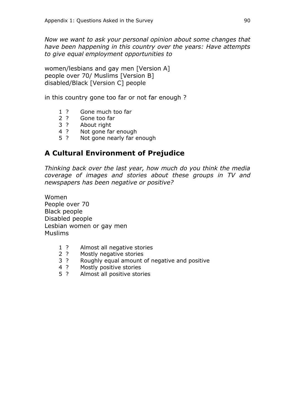*Now we want to ask your personal opinion about some changes that have been happening in this country over the years: Have attempts to give equal employment opportunities to*

women/lesbians and gay men [Version A] people over 70/ Muslims [Version B] disabled/Black [Version C] people

in this country gone too far or not far enough ?

- 1 ? Gone much too far
- 2 ? Gone too far
- 3 ? About right
- 4 ? Not gone far enough
- 5 ? Not gone nearly far enough

### **A Cultural Environment of Prejudice**

*Thinking back over the last year, how much do you think the media coverage of images and stories about these groups in TV and newspapers has been negative or positive?*

Women People over 70 Black people Disabled people Lesbian women or gay men Muslims

- 1 ? Almost all negative stories
- 2 ? Mostly negative stories
- 3 ? Roughly equal amount of negative and positive
- 4 ? Mostly positive stories
- 5 ? Almost all positive stories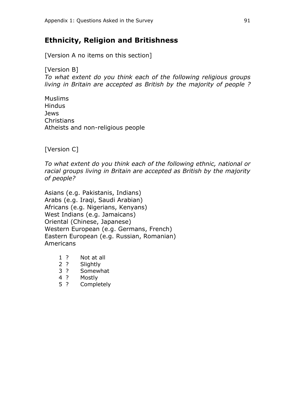### **Ethnicity, Religion and Britishness**

[Version A no items on this section]

[Version B] *To what extent do you think each of the following religious groups living in Britain are accepted as British by the majority of people ?*

Muslims **Hindus** Jews **Christians** Atheists and non-religious people

[Version C]

*To what extent do you think each of the following ethnic, national or racial groups living in Britain are accepted as British by the majority of people?*

Asians (e.g. Pakistanis, Indians) Arabs (e.g. Iraqi, Saudi Arabian) Africans (e.g. Nigerians, Kenyans) West Indians (e.g. Jamaicans) Oriental (Chinese, Japanese) Western European (e.g. Germans, French) Eastern European (e.g. Russian, Romanian) Americans

- 1 ? Not at all
- 2 ? Slightly
- 3 ? Somewhat
- 4 ? Mostly
- 5 ? Completely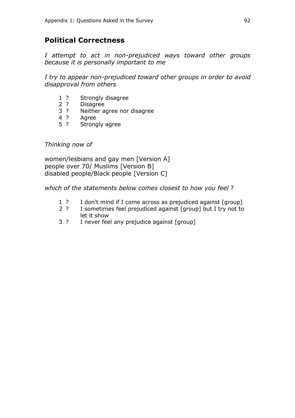### **Political Correctness**

*I attempt to act in non-prejudiced ways toward other groups because it is personally important to me*

*I try to appear non-prejudiced toward other groups in order to avoid disapproval from others*

- 1 ? Strongly disagree
- 2 ? Disagree
- 3 ? Neither agree nor disagree<br>4 ? Agree
- Agree
- 5 ? Strongly agree

#### *Thinking now of*

women/lesbians and gay men [Version A] people over 70/ Muslims [Version B] disabled people/Black people [Version C]

*which of the statements below comes closest to how you feel* ?

- 1 ? I don't mind if I come across as prejudiced against [group]
- 2 ? I sometimes feel prejudiced against [group] but I try not to let it show
- 3 ? I never feel any prejudice against [group]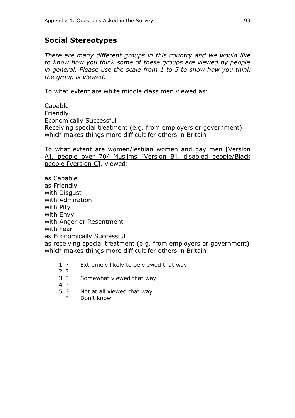### **Social Stereotypes**

*There are many different groups in this country and we would like to know how you think some of these groups are viewed by people in general. Please use the scale from 1 to 5 to show how you think the group is viewed.* 

To what extent are white middle class men viewed as:

Capable Friendly Economically Successful Receiving special treatment (e.g. from employers or government) which makes things more difficult for others in Britain

To what extent are women/lesbian women and gay men [Version A], people over 70/ Muslims [Version B], disabled people/Black people [Version C], viewed:

as Capable as Friendly with Disgust with Admiration with Pity with Envy with Anger or Resentment with Fear as Economically Successful as receiving special treatment (e.g. from employers or government) which makes things more difficult for others in Britain

1 ? Extremely likely to be viewed that way

2 ?

- 3 ? Somewhat viewed that way
- 4 ?
- 5 ? Not at all viewed that way
	- ? Don't know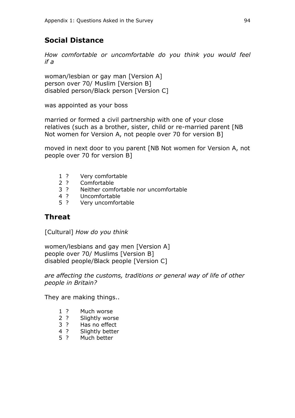### **Social Distance**

*How comfortable or uncomfortable do you think you would feel if a* 

woman/lesbian or gay man [Version A] person over 70/ Muslim [Version B] disabled person/Black person [Version C]

was appointed as your boss

married or formed a civil partnership with one of your close relatives (such as a brother, sister, child or re-married parent [NB Not women for Version A, not people over 70 for version B]

moved in next door to you parent [NB Not women for Version A, not people over 70 for version B]

- 1 ? Very comfortable
- 2 ? Comfortable<br>3 ? Neither comf
- Neither comfortable nor uncomfortable
- 4 ? Uncomfortable
- 5 ? Very uncomfortable

#### **Threat**

[Cultural] *How do you think*

women/lesbians and gay men [Version A] people over 70/ Muslims [Version B] disabled people/Black people [Version C]

*are affecting the customs, traditions or general way of life of other people in Britain?*

They are making things..

- 1 ? Much worse
- 2 ? Slightly worse
- 3 ? Has no effect
- 4 ? Slightly better
- 5 ? Much better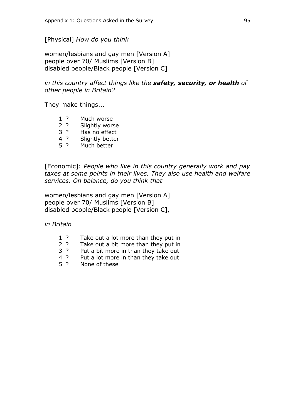[Physical] *How do you think*

women/lesbians and gay men [Version A] people over 70/ Muslims [Version B] disabled people/Black people [Version C]

#### *in this country affect things like the safety, security, or health of other people in Britain?*

They make things...

- 1 ? Much worse<br>2 ? Slightly wors
- Slightly worse
- 3 ? Has no effect
- 4 ? Slightly better
- 5 ? Much better

[Economic]: *People who live in this country generally work and pay taxes at some points in their lives. They also use health and welfare services. On balance, do you think that*

women/lesbians and gay men [Version A] people over 70/ Muslims [Version B] disabled people/Black people [Version C],

*in Britain*

- 1 ? Take out a lot more than they put in
- 2 ? Take out a bit more than they put in
- 3 ? Put a bit more in than they take out
- 4 ? Put a lot more in than they take out
- 5 ? None of these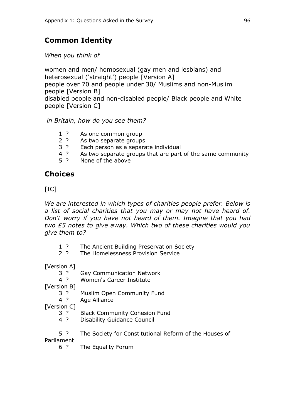### **Common Identity**

*When you think of* 

women and men/ homosexual (gay men and lesbians) and heterosexual ('straight') people [Version A] people over 70 and people under 30/ Muslims and non-Muslim people [Version B] disabled people and non-disabled people/ Black people and White people [Version C]

*in Britain, how do you see them?*

- 1 ? As one common group
- 2 ? As two separate groups
- 3 ? Each person as a separate individual
- 4 ? As two separate groups that are part of the same community
- 5 ? None of the above

### **Choices**

 $[IC]$ 

*We are interested in which types of charities people prefer. Below is a list of social charities that you may or may not have heard of. Don't worry if you have not heard of them. Imagine that you had two £5 notes to give away. Which two of these charities would you give them to?*

- 1 ? The Ancient Building Preservation Society
- 2 ? The Homelessness Provision Service

[Version A]

- 3 ? Gay Communication Network<br>4 ? Women's Career Institute
	- Women's Career Institute

[Version B]

- 3 ? Muslim Open Community Fund
- 4 ? Age Alliance

[Version C]

- 3 ? Black Community Cohesion Fund
- 4 ? Disability Guidance Council
- 5 ? The Society for Constitutional Reform of the Houses of

Parliament

6 ? The Equality Forum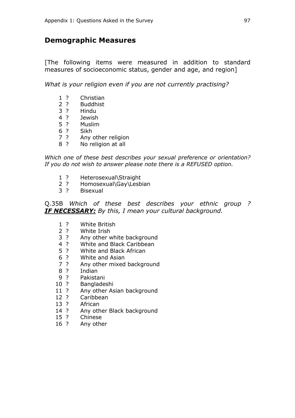#### **Demographic Measures**

[The following items were measured in addition to standard measures of socioeconomic status, gender and age, and region]

*What is your religion even if you are not currently practising?*

- ? Christian
- ? Buddhist
- ? Hindu
- 4 ? Jewish<br>5 ? Muslim
- ? Muslim
- ? Sikh
- ? Any other religion
- ? No religion at all

*Which one of these best describes your sexual preference or orientation? If you do not wish to answer please note there is a REFUSED option.*

- ? Heterosexual\Straight
- ? Homosexual\Gay\Lesbian
- ? Bisexual

Q.35B *Which of these best describes your ethnic group ? IF NECESSARY: By this, I mean your cultural background.*

- ? White British
- ? White Irish
- ? Any other white background
- ? White and Black Caribbean
- ? White and Black African
- ? White and Asian
- ? Any other mixed background
- ? Indian
- ? Pakistani
- ? Bangladeshi
- 11 ? Any other Asian background
- 12 ? Caribbean<br>13 ? African
- **African**
- 14 ? Any other Black background
- ? Chinese
- ? Any other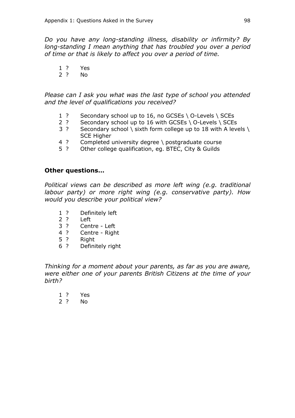*Do you have any long-standing illness, disability or infirmity? By long-standing I mean anything that has troubled you over a period of time or that is likely to affect you over a period of time.*

- 1 ? Yes
- 2 ? No

*Please can I ask you what was the last type of school you attended and the level of qualifications you received?*

- 1 ? Secondary school up to 16, no GCSEs \ O-Levels \ SCEs
- 2 ? Secondary school up to 16 with GCSEs \ O-Levels \ SCEs
- 3 ? Secondary school \ sixth form college up to 18 with A levels \ SCE Higher
- 4 ? Completed university degree \ postgraduate course
- 5 ? Other college qualification, eg. BTEC, City & Guilds

#### **Other questions…**

*Political views can be described as more left wing (e.g. traditional labour party) or more right wing (e.g. conservative party). How would you describe your political view?*

- 1 ? Definitely left
- 2 ? Left
- 3 ? Centre Left
- 4 ? Centre Right
- 5 ? Right
- 6 ? Definitely right

*Thinking for a moment about your parents, as far as you are aware, were either one of your parents British Citizens at the time of your birth?*

- 1 ? Yes
- 2 ? No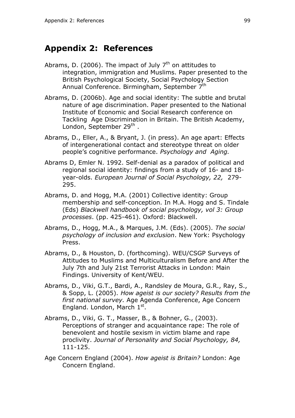## **Appendix 2: References**

- Abrams, D. (2006). The impact of July  $7<sup>th</sup>$  on attitudes to integration, immigration and Muslims. Paper presented to the British Psychological Society, Social Psychology Section Annual Conference. Birmingham, September 7<sup>th</sup>
- Abrams, D. (2006b). Age and social identity: The subtle and brutal nature of age discrimination. Paper presented to the National Institute of Economic and Social Research conference on Tackling Age Discrimination in Britain. The British Academy, London, September 29<sup>th</sup>.
- Abrams, D., Eller, A., & Bryant, J. (in press). An age apart: Effects of intergenerational contact and stereotype threat on older people's cognitive performance. *Psychology and Aging.*
- Abrams D, Emler N. 1992. Self-denial as a paradox of political and regional social identity: findings from a study of 16- and 18 year-olds. *European Journal of Social Psychology, 22,* 279- 295.
- Abrams, D. and Hogg, M.A. (2001) Collective identity: Group membership and self-conception. In M.A. Hogg and S. Tindale (Eds) *Blackwell handbook of social psychology, vol 3: Group processes*. (pp. 425-461). Oxford: Blackwell.
- Abrams, D., Hogg, M.A., & Marques, J.M. (Eds). (2005). *The social psychology of inclusion and exclusion*. New York: Psychology Press.
- Abrams, D., & Houston, D. (forthcoming). WEU/CSGP Surveys of Attitudes to Muslims and Multiculturalism Before and After the July 7th and July 21st Terrorist Attacks in London: Main Findings. University of Kent/WEU.
- Abrams, D., Viki, G.T., Bardi, A., Randsley de Moura, G.R., Ray, S., & Sopp, L. (2005). *How ageist is our society? Results from the first national survey.* Age Agenda Conference, Age Concern England. London, March 1st.
- Abrams, D., Viki, G. T., Masser, B., & Bohner, G., (2003). Perceptions of stranger and acquaintance rape: The role of benevolent and hostile sexism in victim blame and rape proclivity. *Journal of Personality and Social Psychology, 84,* 111-125.
- Age Concern England (2004). *How ageist is Britain?* London: Age Concern England.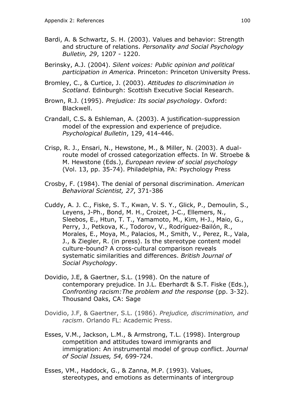- Bardi, A. & Schwartz, S. H. (2003). Values and behavior: Strength and structure of relations. *Personality and Social Psychology Bulletin, 29*, 1207 - 1220.
- Berinsky, A.J. (2004). *Silent voices: Public opinion and political participation in America*. Princeton: Princeton University Press.
- Bromley, C., & Curtice, J. (2003). *Attitudes to discrimination in Scotland*. Edinburgh: Scottish Executive Social Research.
- Brown, R.J. (1995). *Prejudice: Its social psychology*. Oxford: Blackwell.
- Crandall, C.S**.** & Eshleman, A. (2003). A justification-suppression model of the expression and experience of prejudice. *Psychological Bulletin*, 129, 414-446.
- Crisp, R. J., Ensari, N., Hewstone, M., & Miller, N. (2003). A dualroute model of crossed categorization effects. In W. Stroebe & M. Hewstone (Eds.), *European review of social psychology* (Vol. 13, pp. 35-74). Philadelphia, PA: Psychology Press
- Crosby, F. (1984). The denial of personal discrimination. *American Behavioral Scientist, 27*, 371-386
- Cuddy, A. J. C., Fiske, S. T., Kwan, V. S. Y., Glick, P., Demoulin, S., Leyens, J-Ph., Bond, M. H., Croizet, J-C., Ellemers, N., Sleebos, E., Htun, T. T., Yamamoto, M., Kim, H-J., Maio, G., Perry, J., Petkova, K., Todorov, V., Rodríguez-Bailón, R., Morales, E., Moya, M., Palacios, M., Smith, V., Perez, R., Vala, J., & Ziegler, R. (in press). Is the stereotype content model culture-bound? A cross-cultural comparison reveals systematic similarities and differences. *British Journal of Social Psychology*.
- Dovidio, J.E, & Gaertner, S.L. (1998). On the nature of contemporary prejudice. In J.L. Eberhardt & S.T. Fiske (Eds.), *Confronting racism:The problem and the response* (pp. 3-32). Thousand Oaks, CA: Sage
- Dovidio, J.F, & Gaertner, S.L. (1986). *Prejudice, discrimination, and racism*. Orlando FL: Academic Press.
- Esses, V.M., Jackson, L.M., & Armstrong, T.L. (1998). Intergroup competition and attitudes toward immigrants and immigration: An instrumental model of group conflict. *Journal of Social Issues, 54,* 699-724.
- Esses, VM., Haddock, G., & Zanna, M.P. (1993). Values, stereotypes, and emotions as determinants of intergroup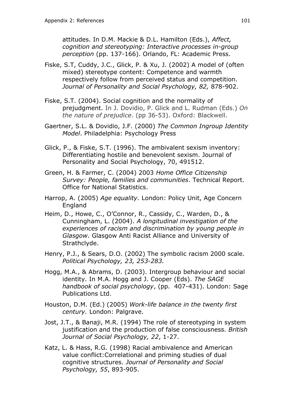attitudes. In D.M. Mackie & D.L. Hamilton (Eds.), *Affect, cognition and stereotyping: Interactive processes in-group perception* (pp. 137-166). Orlando, FL: Academic Press.

- Fiske, S.T, Cuddy, J.C., Glick, P. & Xu, J. (2002) A model of (often mixed) stereotype content: Competence and warmth respectively follow from perceived status and competition. *Journal of Personality and Social Psychology, 82,* 878-902.
- Fiske, S.T. (2004). Social cognition and the normality of prejudgment. In J. Dovidio, P. Glick and L. Rudman (Eds.) *On the nature of prejudice*. (pp 36-53). Oxford: Blackwell.
- Gaertner, S.L. & Dovidio, J.F. (2000) *The Common Ingroup Identity Model*. Philadelphia: Psychology Press
- Glick, P., & Fiske, S.T. (1996). The ambivalent sexism inventory: Differentiating hostile and benevolent sexism. Journal of Personality and Social Psychology, 70, 491512.
- Green, H. & Farmer, C. (2004) 2003 *Home Office Citizenship Survey: People, families and communities*. Technical Report. Office for National Statistics.
- Harrop, A. (2005) *Age equality.* London: Policy Unit, Age Concern England
- Heim, D., Howe, C., O'Connor, R., Cassidy, C., Warden, D., & Cunningham, L. (2004). *A longitudinal investigation of the experiences of racism and discrimination by young people in Glasgow*. Glasgow Anti Racist Alliance and University of Strathclyde.
- Henry, P.J., & Sears, D.O. (2002) The symbolic racism 2000 scale. *Political Psychology, 23, 253-283.*
- Hogg, M.A., & Abrams, D. (2003). Intergroup behaviour and social identity. In M.A. Hogg and J. Cooper (Eds). *The SAGE handbook of social psychology*, (pp. 407-431). London: Sage Publications Ltd.
- Houston, D.M. (Ed.) (2005) *Work-life balance in the twenty first century.* London: Palgrave.
- Jost, J.T., & Banaji, M.R. (1994) The role of stereotyping in system justification and the production of false consciousness. *British Journal of Social Psychology, 22*, 1-27.
- Katz, L. & Hass, R.G. (1998) Racial ambivalence and American value conflict:Correlational and priming studies of dual cognitive structures. *Journal of Personality and Social Psychology, 55*, 893-905.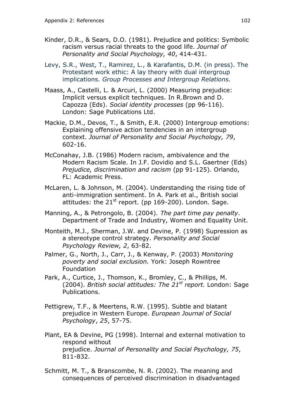- Kinder, D.R., & Sears, D.O. (1981). Prejudice and politics: Symbolic racism versus racial threats to the good life. *Journal of Personality and Social Psychology, 40*, 414-431.
- Levy, S.R., West, T., Ramirez, L., & Karafantis, D.M. (in press). The Protestant work ethic: A lay theory with dual intergroup implications. *Group Processes and Intergroup Relations.*
- Maass, A., Castelli, L. & Arcuri, L. (2000) Measuring prejudice: Implicit versus explicit techniques. In R.Brown and D. Capozza (Eds). *Social identity processes* (pp 96-116). London: Sage Publications Ltd.
- Mackie, D.M., Devos, T., & Smith, E.R. (2000) Intergroup emotions: Explaining offensive action tendencies in an intergroup context. *Journal of Personality and Social Psychology, 79*, 602-16.
- McConahay, J.B. (1986) Modern racism, ambivalence and the Modern Racism Scale. In J.F. Dovidio and S.L. Gaertner (Eds) *Prejudice, discrimination and racism* (pp 91-125). Orlando, FL: Academic Press.
- McLaren, L. & Johnson, M. (2004). Understanding the rising tide of anti-immigration sentiment. In A. Park et al., British social attitudes: the  $21^{st}$  report. (pp 169-200). London. Sage.
- Manning, A., & Petrongolo, B. (2004). *The part time pay penalty*. Department of Trade and Industry, Women and Equality Unit.
- Monteith, M.J., Sherman, J.W. and Devine, P. (1998) Supression as a stereotype control strategy. *Personality and Social Psychology Review, 2*, 63-82.
- Palmer, G., North, J., Carr, J., & Kenway, P. (2003) *Monitoring poverty and social exclusion.* York: Joseph Rowntree Foundation
- Park, A., Curtice, J., Thomson, K., Bromley, C., & Phillips, M. (2004). *British social attitudes: The 21st report.* London: Sage Publications.
- Pettigrew, T.F., & Meertens, R.W. (1995). Subtle and blatant prejudice in Western Europe. *European Journal of Social Psychology*, *25*, 57-75.
- Plant, EA & Devine, PG (1998). Internal and external motivation to respond without prejudice. *Journal of Personality and Social Psychology, 75*, 811-832.
- Schmitt, M. T., & Branscombe, N. R. (2002). The meaning and consequences of perceived discrimination in disadvantaged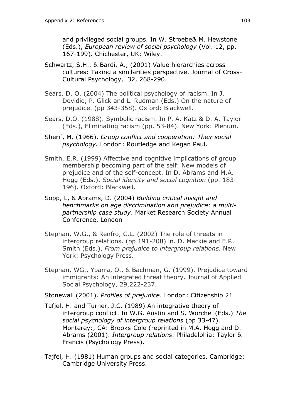and privileged social groups. In W. Stroebe& M. Hewstone (Eds.), *European review of social psychology* (Vol. 12, pp. 167-199). Chichester, UK: Wiley.

- Schwartz, S.H., & Bardi, A., (2001) Value hierarchies across cultures: Taking a similarities perspective. Journal of Cross-Cultural Psychology, 32, 268-290.
- Sears, D. O. (2004) The political psychology of racism. In J. Dovidio, P. Glick and L. Rudman (Eds.) On the nature of prejudice. (pp 343-358). Oxford: Blackwell.
- Sears, D.O. (1988). Symbolic racism. In P. A. Katz & D. A. Taylor (Eds.), Eliminating racism (pp. 53-84). New York: Plenum.
- Sherif, M. (1966). *Group conflict and cooperation: Their social psychology.* London: Routledge and Kegan Paul.
- Smith, E.R. (1999) Affective and cognitive implications of group membership becoming part of the self: New models of prejudice and of the self-concept. In D. Abrams and M.A. Hogg (Eds.), *Social identity and social cognition* (pp. 183- 196). Oxford: Blackwell.
- Sopp, L, & Abrams, D. (2004) *Building critical insight and benchmarks on age discrimination and prejudice: a multipartnership case study*. Market Research Society Annual Conference, London
- Stephan, W.G., & Renfro, C.L. (2002) The role of threats in intergroup relations. (pp 191-208) in. D. Mackie and E.R. Smith (Eds.), *From prejudice to intergroup relations.* New York: Psychology Press.
- Stephan, WG., Ybarra, O., & Bachman, G. (1999). Prejudice toward immigrants: An integrated threat theory. Journal of Applied Social Psychology, 29,222-237.

Stonewall (2001). *Profiles of prejudice*. London: Citizenship 21

- Tafjel, H. and Turner, J.C. (1989) An integrative theory of intergroup conflict. In W.G. Austin and S. Worchel (Eds.) *The social psychology of intergroup relations* (pp 33-47). Monterey:, CA: Brooks-Cole (reprinted in M.A. Hogg and D. Abrams (2001). *Intergroup relations*. Philadelphia: Taylor & Francis (Psychology Press).
- Tajfel, H. (1981) Human groups and social categories. Cambridge: Cambridge University Press.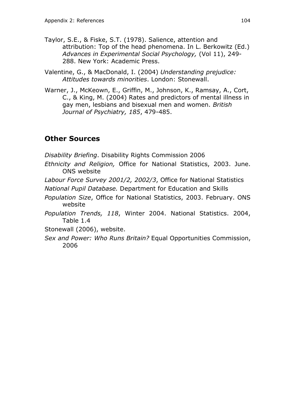- Taylor, S.E., & Fiske, S.T. (1978). Salience, attention and attribution: Top of the head phenomena. In L. Berkowitz (Ed.) *Advances in Experimental Social Psychology,* (Vol 11), 249- 288. New York: Academic Press.
- Valentine, G., & MacDonald, I. (2004) *Understanding prejudice: Attitudes towards minorities*. London: Stonewall.
- Warner, J., McKeown, E., Griffin, M., Johnson, K., Ramsay, A., Cort, C., & King, M. (2004) Rates and predictors of mental illness in gay men, lesbians and bisexual men and women. *British Journal of Psychiatry, 185*, 479-485.

## **Other Sources**

*Disability Briefing*. Disability Rights Commission 2006

*Ethnicity and Religion,* Office for National Statistics, 2003. June. ONS website

*Labour Force Survey 2001/2, 2002/3*, Office for National Statistics

*National Pupil Database.* Department for Education and Skills

- *Population Size*, Office for National Statistics, 2003. February. ONS website
- *Population Trends, 118*, Winter 2004. National Statistics. 2004, Table 1.4

Stonewall (2006), website.

*Sex and Power: Who Runs Britain?* Equal Opportunities Commission, 2006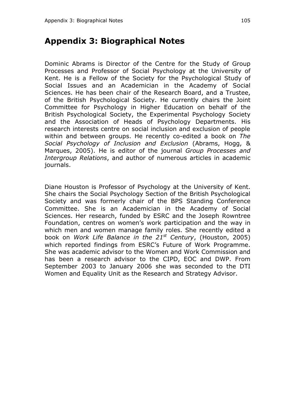## **Appendix 3: Biographical Notes**

Dominic Abrams is Director of the Centre for the Study of Group Processes and Professor of Social Psychology at the University of Kent. He is a Fellow of the Society for the Psychological Study of Social Issues and an Academician in the Academy of Social Sciences. He has been chair of the Research Board, and a Trustee, of the British Psychological Society. He currently chairs the Joint Committee for Psychology in Higher Education on behalf of the British Psychological Society, the Experimental Psychology Society and the Association of Heads of Psychology Departments. His research interests centre on social inclusion and exclusion of people within and between groups. He recently co-edited a book on *The Social Psychology of Inclusion and Exclusion* (Abrams, Hogg, & Marques, 2005). He is editor of the journal *Group Processes and Intergroup Relations*, and author of numerous articles in academic journals.

Diane Houston is Professor of Psychology at the University of Kent. She chairs the Social Psychology Section of the British Psychological Society and was formerly chair of the BPS Standing Conference Committee. She is an Academician in the Academy of Social Sciences. Her research, funded by ESRC and the Joseph Rowntree Foundation, centres on women's work participation and the way in which men and women manage family roles. She recently edited a book on *Work Life Balance in the 21st Century*, (Houston, 2005) which reported findings from ESRC's Future of Work Programme. She was academic advisor to the Women and Work Commission and has been a research advisor to the CIPD, EOC and DWP. From September 2003 to January 2006 she was seconded to the DTI Women and Equality Unit as the Research and Strategy Advisor.